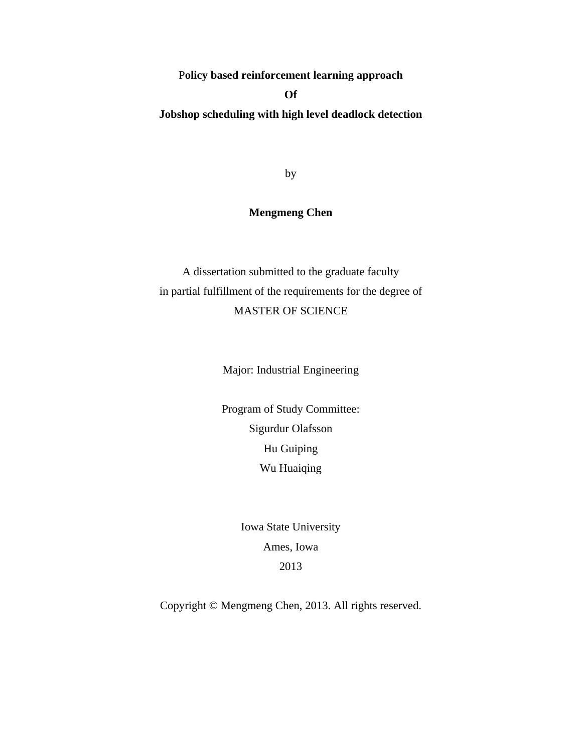P**olicy based reinforcement learning approach** 

# **Of**

**Jobshop scheduling with high level deadlock detection** 

by

# **Mengmeng Chen**

A dissertation submitted to the graduate faculty in partial fulfillment of the requirements for the degree of MASTER OF SCIENCE

Major: Industrial Engineering

Program of Study Committee: Sigurdur Olafsson Hu Guiping Wu Huaiqing

> Iowa State University Ames, Iowa 2013

Copyright © Mengmeng Chen, 2013. All rights reserved.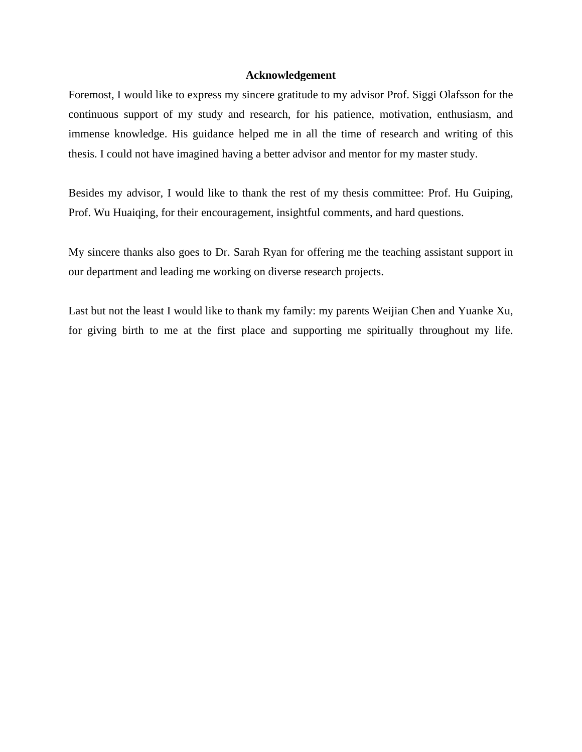#### **Acknowledgement**

Foremost, I would like to express my sincere gratitude to my advisor Prof. Siggi Olafsson for the continuous support of my study and research, for his patience, motivation, enthusiasm, and immense knowledge. His guidance helped me in all the time of research and writing of this thesis. I could not have imagined having a better advisor and mentor for my master study.

Besides my advisor, I would like to thank the rest of my thesis committee: Prof. Hu Guiping, Prof. Wu Huaiqing, for their encouragement, insightful comments, and hard questions.

My sincere thanks also goes to Dr. Sarah Ryan for offering me the teaching assistant support in our department and leading me working on diverse research projects.

Last but not the least I would like to thank my family: my parents Weijian Chen and Yuanke Xu, for giving birth to me at the first place and supporting me spiritually throughout my life.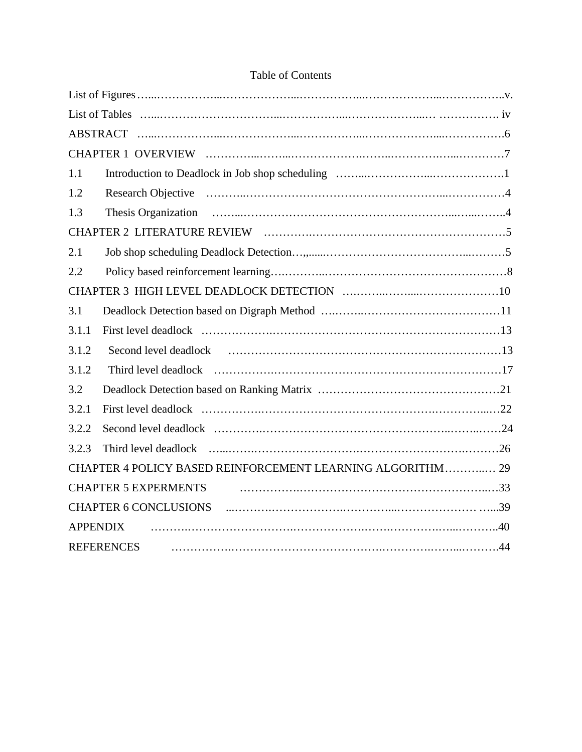| 1.1                                                        |  |
|------------------------------------------------------------|--|
| 1.2                                                        |  |
| 1.3                                                        |  |
|                                                            |  |
| 2.1                                                        |  |
| 2.2                                                        |  |
|                                                            |  |
| 3.1                                                        |  |
| 3.1.1                                                      |  |
| 3.1.2                                                      |  |
| 3.1.2                                                      |  |
| 3.2                                                        |  |
| 3.2.1                                                      |  |
| 3.2.2                                                      |  |
| 3.2.3                                                      |  |
| CHAPTER 4 POLICY BASED REINFORCEMENT LEARNING ALGORITHM 29 |  |
| <b>CHAPTER 5 EXPERMENTS</b>                                |  |
| <b>CHAPTER 6 CONCLUSIONS</b>                               |  |
| <b>APPENDIX</b>                                            |  |
| <b>REFERENCES</b>                                          |  |

# Table of Contents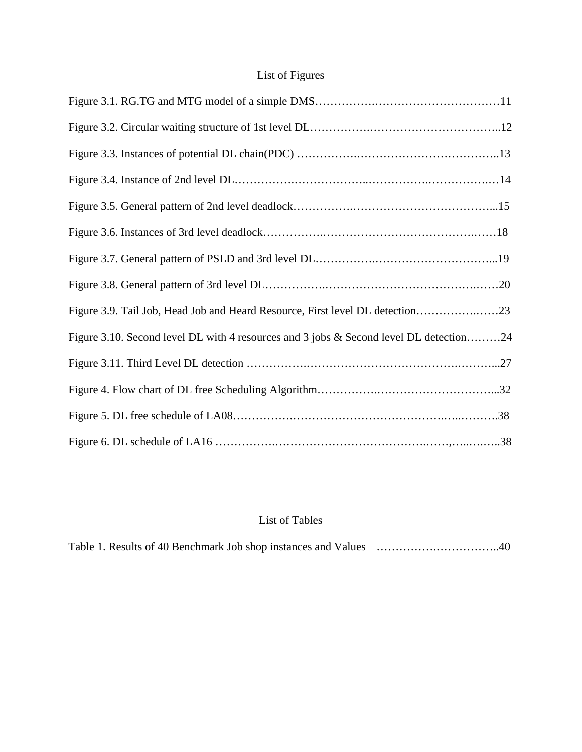# List of Figures

| Figure 3.9. Tail Job, Head Job and Heard Resource, First level DL detection23          |  |
|----------------------------------------------------------------------------------------|--|
| Figure 3.10. Second level DL with 4 resources and 3 jobs & Second level DL detection24 |  |
|                                                                                        |  |
|                                                                                        |  |
|                                                                                        |  |
|                                                                                        |  |

# List of Tables

|--|--|--|--|--|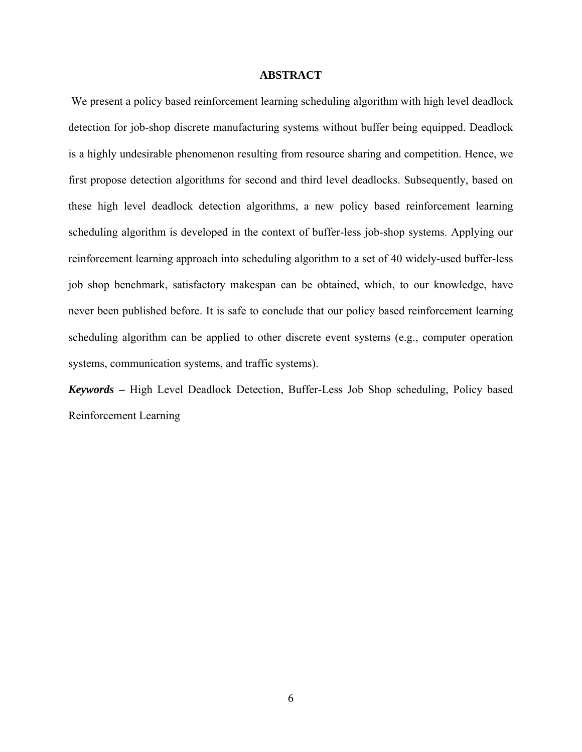#### **ABSTRACT**

We present a policy based reinforcement learning scheduling algorithm with high level deadlock detection for job-shop discrete manufacturing systems without buffer being equipped. Deadlock is a highly undesirable phenomenon resulting from resource sharing and competition. Hence, we first propose detection algorithms for second and third level deadlocks. Subsequently, based on these high level deadlock detection algorithms, a new policy based reinforcement learning scheduling algorithm is developed in the context of buffer-less job-shop systems. Applying our reinforcement learning approach into scheduling algorithm to a set of 40 widely-used buffer-less job shop benchmark, satisfactory makespan can be obtained, which, to our knowledge, have never been published before. It is safe to conclude that our policy based reinforcement learning scheduling algorithm can be applied to other discrete event systems (e.g., computer operation systems, communication systems, and traffic systems).

*Keywords* **–** High Level Deadlock Detection, Buffer-Less Job Shop scheduling, Policy based Reinforcement Learning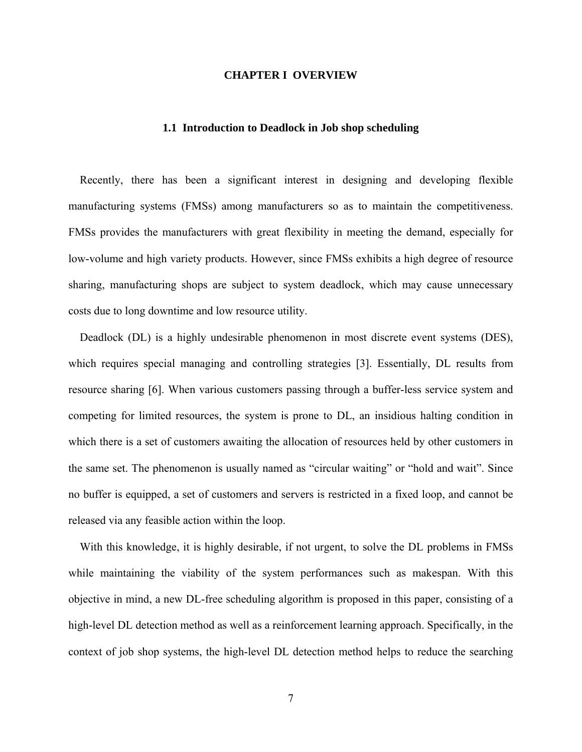#### **CHAPTER I OVERVIEW**

#### **1.1 Introduction to Deadlock in Job shop scheduling**

Recently, there has been a significant interest in designing and developing flexible manufacturing systems (FMSs) among manufacturers so as to maintain the competitiveness. FMSs provides the manufacturers with great flexibility in meeting the demand, especially for low-volume and high variety products. However, since FMSs exhibits a high degree of resource sharing, manufacturing shops are subject to system deadlock, which may cause unnecessary costs due to long downtime and low resource utility.

Deadlock (DL) is a highly undesirable phenomenon in most discrete event systems (DES), which requires special managing and controlling strategies [3]. Essentially, DL results from resource sharing [6]. When various customers passing through a buffer-less service system and competing for limited resources, the system is prone to DL, an insidious halting condition in which there is a set of customers awaiting the allocation of resources held by other customers in the same set. The phenomenon is usually named as "circular waiting" or "hold and wait". Since no buffer is equipped, a set of customers and servers is restricted in a fixed loop, and cannot be released via any feasible action within the loop.

With this knowledge, it is highly desirable, if not urgent, to solve the DL problems in FMSs while maintaining the viability of the system performances such as makespan. With this objective in mind, a new DL-free scheduling algorithm is proposed in this paper, consisting of a high-level DL detection method as well as a reinforcement learning approach. Specifically, in the context of job shop systems, the high-level DL detection method helps to reduce the searching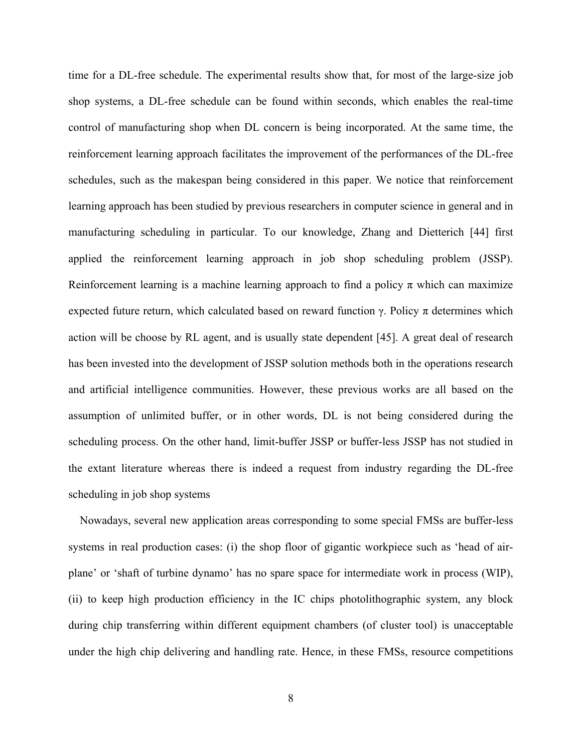time for a DL-free schedule. The experimental results show that, for most of the large-size job shop systems, a DL-free schedule can be found within seconds, which enables the real-time control of manufacturing shop when DL concern is being incorporated. At the same time, the reinforcement learning approach facilitates the improvement of the performances of the DL-free schedules, such as the makespan being considered in this paper. We notice that reinforcement learning approach has been studied by previous researchers in computer science in general and in manufacturing scheduling in particular. To our knowledge, Zhang and Dietterich [44] first applied the reinforcement learning approach in job shop scheduling problem (JSSP). Reinforcement learning is a machine learning approach to find a policy  $\pi$  which can maximize expected future return, which calculated based on reward function  $\gamma$ . Policy  $\pi$  determines which action will be choose by RL agent, and is usually state dependent [45]. A great deal of research has been invested into the development of JSSP solution methods both in the operations research and artificial intelligence communities. However, these previous works are all based on the assumption of unlimited buffer, or in other words, DL is not being considered during the scheduling process. On the other hand, limit-buffer JSSP or buffer-less JSSP has not studied in the extant literature whereas there is indeed a request from industry regarding the DL-free scheduling in job shop systems

Nowadays, several new application areas corresponding to some special FMSs are buffer-less systems in real production cases: (i) the shop floor of gigantic workpiece such as 'head of airplane' or 'shaft of turbine dynamo' has no spare space for intermediate work in process (WIP), (ii) to keep high production efficiency in the IC chips photolithographic system, any block during chip transferring within different equipment chambers (of cluster tool) is unacceptable under the high chip delivering and handling rate. Hence, in these FMSs, resource competitions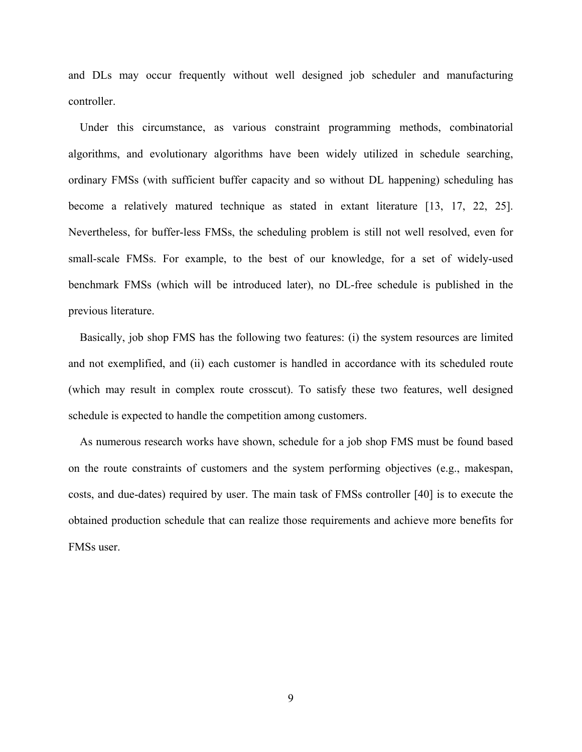and DLs may occur frequently without well designed job scheduler and manufacturing controller.

Under this circumstance, as various constraint programming methods, combinatorial algorithms, and evolutionary algorithms have been widely utilized in schedule searching, ordinary FMSs (with sufficient buffer capacity and so without DL happening) scheduling has become a relatively matured technique as stated in extant literature [13, 17, 22, 25]. Nevertheless, for buffer-less FMSs, the scheduling problem is still not well resolved, even for small-scale FMSs. For example, to the best of our knowledge, for a set of widely-used benchmark FMSs (which will be introduced later), no DL-free schedule is published in the previous literature.

Basically, job shop FMS has the following two features: (i) the system resources are limited and not exemplified, and (ii) each customer is handled in accordance with its scheduled route (which may result in complex route crosscut). To satisfy these two features, well designed schedule is expected to handle the competition among customers.

As numerous research works have shown, schedule for a job shop FMS must be found based on the route constraints of customers and the system performing objectives (e.g., makespan, costs, and due-dates) required by user. The main task of FMSs controller [40] is to execute the obtained production schedule that can realize those requirements and achieve more benefits for FMSs user.

9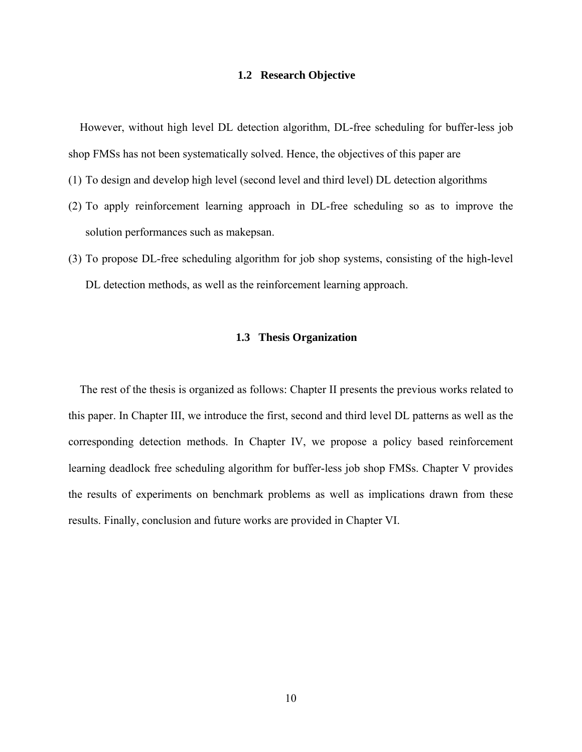#### **1.2 Research Objective**

However, without high level DL detection algorithm, DL-free scheduling for buffer-less job shop FMSs has not been systematically solved. Hence, the objectives of this paper are

- (1) To design and develop high level (second level and third level) DL detection algorithms
- (2) To apply reinforcement learning approach in DL-free scheduling so as to improve the solution performances such as makepsan.
- (3) To propose DL-free scheduling algorithm for job shop systems, consisting of the high-level DL detection methods, as well as the reinforcement learning approach.

# **1.3 Thesis Organization**

The rest of the thesis is organized as follows: Chapter II presents the previous works related to this paper. In Chapter III, we introduce the first, second and third level DL patterns as well as the corresponding detection methods. In Chapter IV, we propose a policy based reinforcement learning deadlock free scheduling algorithm for buffer-less job shop FMSs. Chapter V provides the results of experiments on benchmark problems as well as implications drawn from these results. Finally, conclusion and future works are provided in Chapter VI.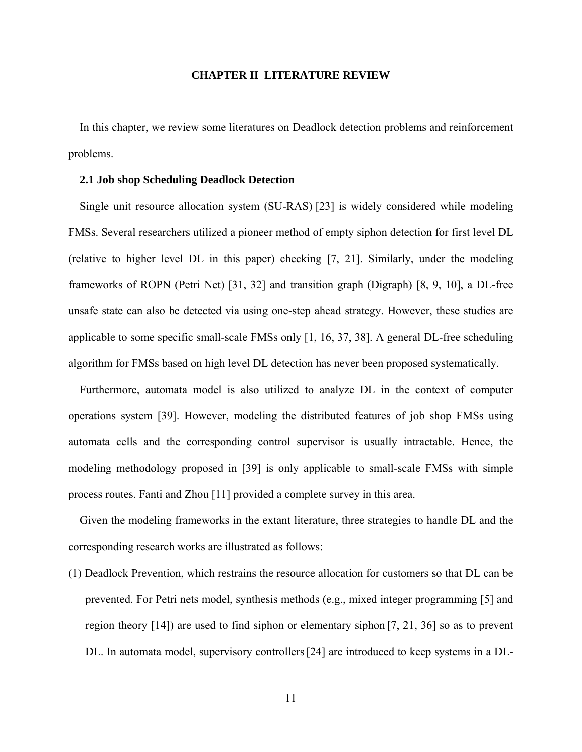#### **CHAPTER II LITERATURE REVIEW**

In this chapter, we review some literatures on Deadlock detection problems and reinforcement problems.

#### **2.1 Job shop Scheduling Deadlock Detection**

Single unit resource allocation system (SU-RAS) [23] is widely considered while modeling FMSs. Several researchers utilized a pioneer method of empty siphon detection for first level DL (relative to higher level DL in this paper) checking [7, 21]. Similarly, under the modeling frameworks of ROPN (Petri Net) [31, 32] and transition graph (Digraph) [8, 9, 10], a DL-free unsafe state can also be detected via using one-step ahead strategy. However, these studies are applicable to some specific small-scale FMSs only [1, 16, 37, 38]. A general DL-free scheduling algorithm for FMSs based on high level DL detection has never been proposed systematically.

Furthermore, automata model is also utilized to analyze DL in the context of computer operations system [39]. However, modeling the distributed features of job shop FMSs using automata cells and the corresponding control supervisor is usually intractable. Hence, the modeling methodology proposed in [39] is only applicable to small-scale FMSs with simple process routes. Fanti and Zhou [11] provided a complete survey in this area.

Given the modeling frameworks in the extant literature, three strategies to handle DL and the corresponding research works are illustrated as follows:

(1) Deadlock Prevention, which restrains the resource allocation for customers so that DL can be prevented. For Petri nets model, synthesis methods (e.g., mixed integer programming [5] and region theory [14]) are used to find siphon or elementary siphon [7, 21, 36] so as to prevent DL. In automata model, supervisory controllers[24] are introduced to keep systems in a DL-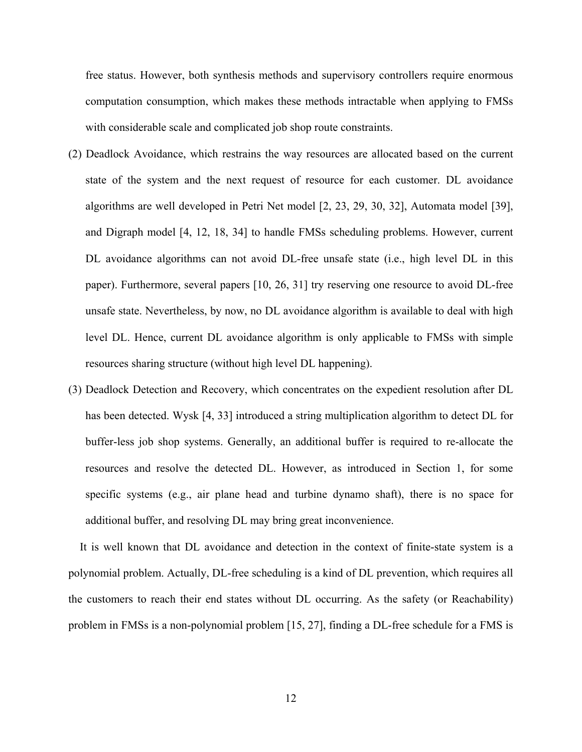free status. However, both synthesis methods and supervisory controllers require enormous computation consumption, which makes these methods intractable when applying to FMSs with considerable scale and complicated job shop route constraints.

- (2) Deadlock Avoidance, which restrains the way resources are allocated based on the current state of the system and the next request of resource for each customer. DL avoidance algorithms are well developed in Petri Net model [2, 23, 29, 30, 32], Automata model [39], and Digraph model [4, 12, 18, 34] to handle FMSs scheduling problems. However, current DL avoidance algorithms can not avoid DL-free unsafe state (i.e., high level DL in this paper). Furthermore, several papers [10, 26, 31] try reserving one resource to avoid DL-free unsafe state. Nevertheless, by now, no DL avoidance algorithm is available to deal with high level DL. Hence, current DL avoidance algorithm is only applicable to FMSs with simple resources sharing structure (without high level DL happening).
- (3) Deadlock Detection and Recovery, which concentrates on the expedient resolution after DL has been detected. Wysk [4, 33] introduced a string multiplication algorithm to detect DL for buffer-less job shop systems. Generally, an additional buffer is required to re-allocate the resources and resolve the detected DL. However, as introduced in Section 1, for some specific systems (e.g., air plane head and turbine dynamo shaft), there is no space for additional buffer, and resolving DL may bring great inconvenience.

It is well known that DL avoidance and detection in the context of finite-state system is a polynomial problem. Actually, DL-free scheduling is a kind of DL prevention, which requires all the customers to reach their end states without DL occurring. As the safety (or Reachability) problem in FMSs is a non-polynomial problem [15, 27], finding a DL-free schedule for a FMS is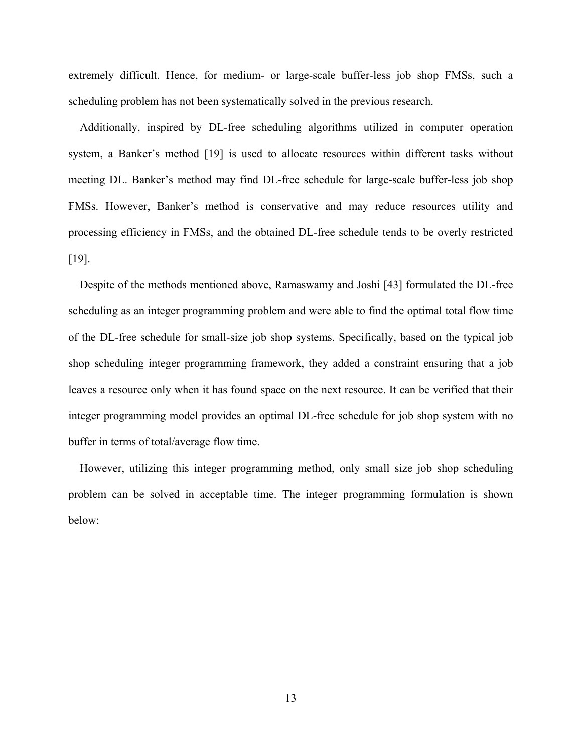extremely difficult. Hence, for medium- or large-scale buffer-less job shop FMSs, such a scheduling problem has not been systematically solved in the previous research.

Additionally, inspired by DL-free scheduling algorithms utilized in computer operation system, a Banker's method [19] is used to allocate resources within different tasks without meeting DL. Banker's method may find DL-free schedule for large-scale buffer-less job shop FMSs. However, Banker's method is conservative and may reduce resources utility and processing efficiency in FMSs, and the obtained DL-free schedule tends to be overly restricted [19].

Despite of the methods mentioned above, Ramaswamy and Joshi [43] formulated the DL-free scheduling as an integer programming problem and were able to find the optimal total flow time of the DL-free schedule for small-size job shop systems. Specifically, based on the typical job shop scheduling integer programming framework, they added a constraint ensuring that a job leaves a resource only when it has found space on the next resource. It can be verified that their integer programming model provides an optimal DL-free schedule for job shop system with no buffer in terms of total/average flow time.

However, utilizing this integer programming method, only small size job shop scheduling problem can be solved in acceptable time. The integer programming formulation is shown below:

13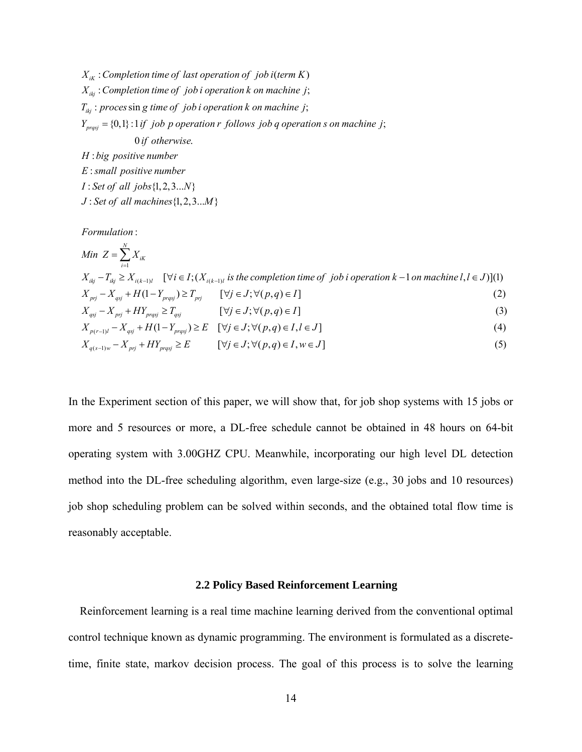$X_{iK}$  : Completion time of last operation of job i(term K) : ; *ikj X Completion time of job i operation k on machine j*  $T_{ikj}$ : proces singet *ime of job i operation k on machine j*;  $Y_{prqsj} = \{0,1\}$ : 1 if *job p operation r follows job q operation s on machine j*; 0 . *if otherwise* : *H big positive number*

: *E small positive number I* : Set of all jobs {1, 2, 3... *N* }  $J: Set of all machines \{1, 2, 3...M\}$ 

: *Formulation*

Min 
$$
Z = \sum_{i=1}^{N} X_{iK}
$$
  
\n
$$
X_{ikj} - T_{ikj} \ge X_{i(k-1)l} \quad [\forall i \in I; (X_{i(k-1)l} \text{ is the completion time of } job \text{ i operation } k-1 \text{ on machine } l, l \in J)](1)
$$
\n
$$
X_{pri} - X_{qsj} + H(1 - Y_{prqsj}) \ge T_{pri} \quad [\forall j \in J; \forall (p,q) \in I] \tag{2}
$$
\n
$$
X_{qsj} - X_{pri} + HY_{prqsj} \ge T_{qsj} \quad [\forall j \in J; \forall (p,q) \in I] \tag{3}
$$
\n
$$
X_{p(r-1)l} - X_{qsj} + H(1 - Y_{prqsj}) \ge E \quad [\forall j \in J; \forall (p,q) \in I, l \in J] \tag{4}
$$

$$
X_{q(s-1)w} - X_{pri} + HY_{prqs} \ge E \qquad [\forall j \in J; \forall (p,q) \in I, w \in J]
$$
\n
$$
(5)
$$

In the Experiment section of this paper, we will show that, for job shop systems with 15 jobs or more and 5 resources or more, a DL-free schedule cannot be obtained in 48 hours on 64-bit operating system with 3.00GHZ CPU. Meanwhile, incorporating our high level DL detection method into the DL-free scheduling algorithm, even large-size (e.g., 30 jobs and 10 resources) job shop scheduling problem can be solved within seconds, and the obtained total flow time is reasonably acceptable.

## **2.2 Policy Based Reinforcement Learning**

Reinforcement learning is a real time machine learning derived from the conventional optimal control technique known as dynamic programming. The environment is formulated as a discretetime, finite state, markov decision process. The goal of this process is to solve the learning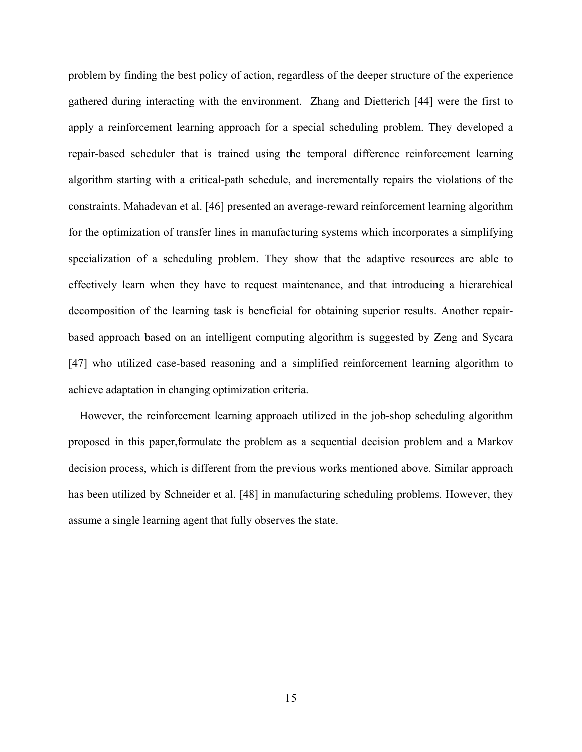problem by finding the best policy of action, regardless of the deeper structure of the experience gathered during interacting with the environment. Zhang and Dietterich [44] were the first to apply a reinforcement learning approach for a special scheduling problem. They developed a repair-based scheduler that is trained using the temporal difference reinforcement learning algorithm starting with a critical-path schedule, and incrementally repairs the violations of the constraints. Mahadevan et al. [46] presented an average-reward reinforcement learning algorithm for the optimization of transfer lines in manufacturing systems which incorporates a simplifying specialization of a scheduling problem. They show that the adaptive resources are able to effectively learn when they have to request maintenance, and that introducing a hierarchical decomposition of the learning task is beneficial for obtaining superior results. Another repairbased approach based on an intelligent computing algorithm is suggested by Zeng and Sycara [47] who utilized case-based reasoning and a simplified reinforcement learning algorithm to achieve adaptation in changing optimization criteria.

However, the reinforcement learning approach utilized in the job-shop scheduling algorithm proposed in this paper,formulate the problem as a sequential decision problem and a Markov decision process, which is different from the previous works mentioned above. Similar approach has been utilized by Schneider et al. [48] in manufacturing scheduling problems. However, they assume a single learning agent that fully observes the state.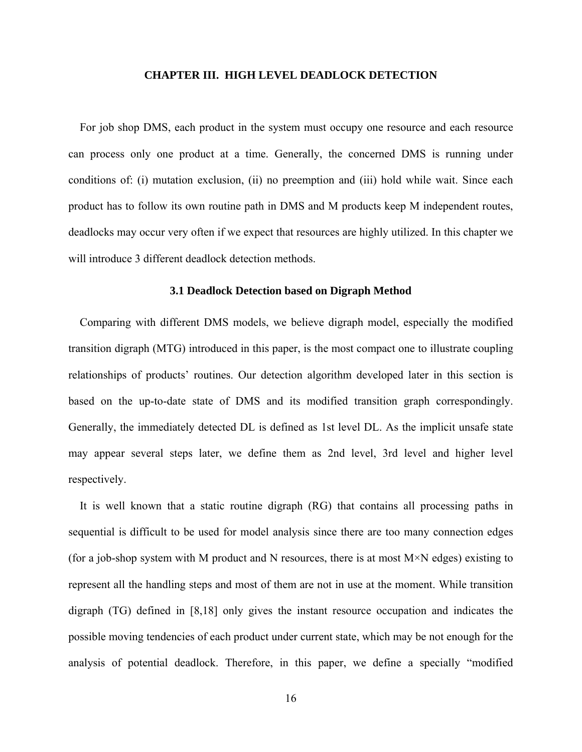#### **CHAPTER III. HIGH LEVEL DEADLOCK DETECTION**

For job shop DMS, each product in the system must occupy one resource and each resource can process only one product at a time. Generally, the concerned DMS is running under conditions of: (i) mutation exclusion, (ii) no preemption and (iii) hold while wait. Since each product has to follow its own routine path in DMS and M products keep M independent routes, deadlocks may occur very often if we expect that resources are highly utilized. In this chapter we will introduce 3 different deadlock detection methods.

#### **3.1 Deadlock Detection based on Digraph Method**

Comparing with different DMS models, we believe digraph model, especially the modified transition digraph (MTG) introduced in this paper, is the most compact one to illustrate coupling relationships of products' routines. Our detection algorithm developed later in this section is based on the up-to-date state of DMS and its modified transition graph correspondingly. Generally, the immediately detected DL is defined as 1st level DL. As the implicit unsafe state may appear several steps later, we define them as 2nd level, 3rd level and higher level respectively.

It is well known that a static routine digraph (RG) that contains all processing paths in sequential is difficult to be used for model analysis since there are too many connection edges (for a job-shop system with M product and N resources, there is at most  $M \times N$  edges) existing to represent all the handling steps and most of them are not in use at the moment. While transition digraph (TG) defined in [8,18] only gives the instant resource occupation and indicates the possible moving tendencies of each product under current state, which may be not enough for the analysis of potential deadlock. Therefore, in this paper, we define a specially "modified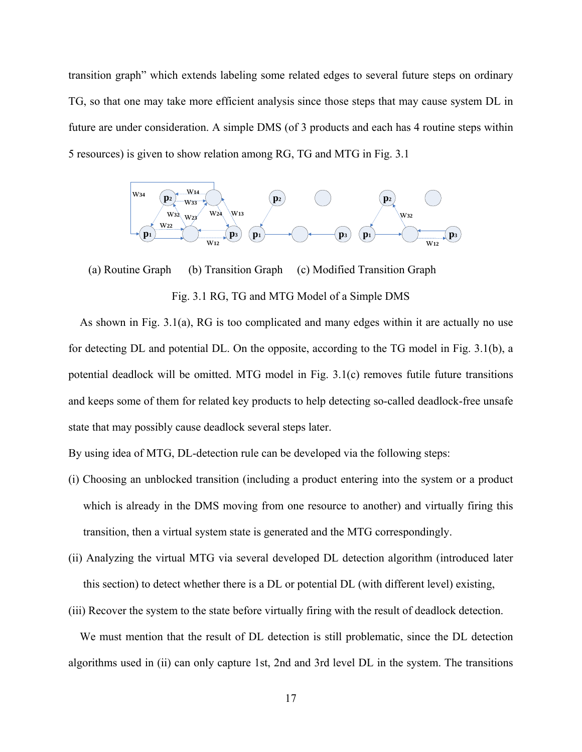transition graph" which extends labeling some related edges to several future steps on ordinary TG, so that one may take more efficient analysis since those steps that may cause system DL in future are under consideration. A simple DMS (of 3 products and each has 4 routine steps within 5 resources) is given to show relation among RG, TG and MTG in Fig. 3.1



 (a) Routine Graph (b) Transition Graph (c) Modified Transition Graph Fig. 3.1 RG, TG and MTG Model of a Simple DMS

As shown in Fig. 3.1(a), RG is too complicated and many edges within it are actually no use for detecting DL and potential DL. On the opposite, according to the TG model in Fig. 3.1(b), a potential deadlock will be omitted. MTG model in Fig. 3.1(c) removes futile future transitions and keeps some of them for related key products to help detecting so-called deadlock-free unsafe state that may possibly cause deadlock several steps later.

By using idea of MTG, DL-detection rule can be developed via the following steps:

- (i) Choosing an unblocked transition (including a product entering into the system or a product which is already in the DMS moving from one resource to another) and virtually firing this transition, then a virtual system state is generated and the MTG correspondingly.
- (ii) Analyzing the virtual MTG via several developed DL detection algorithm (introduced later this section) to detect whether there is a DL or potential DL (with different level) existing,
- (iii) Recover the system to the state before virtually firing with the result of deadlock detection.

We must mention that the result of DL detection is still problematic, since the DL detection algorithms used in (ii) can only capture 1st, 2nd and 3rd level DL in the system. The transitions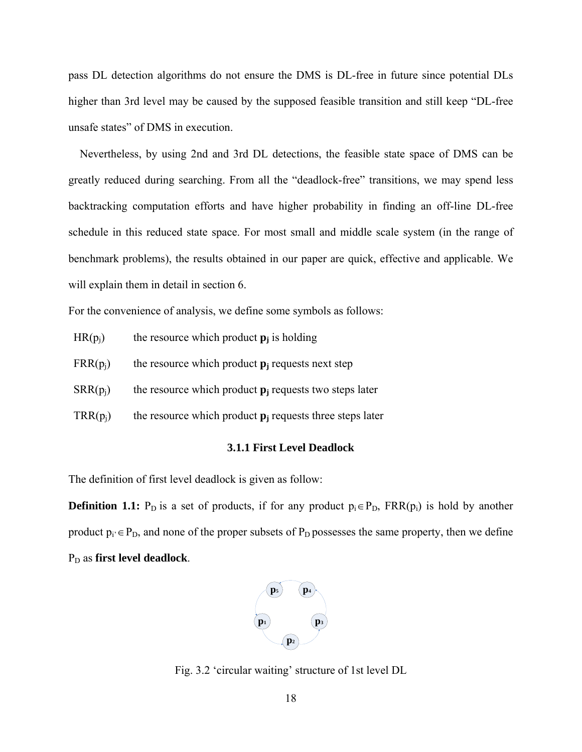pass DL detection algorithms do not ensure the DMS is DL-free in future since potential DLs higher than 3rd level may be caused by the supposed feasible transition and still keep "DL-free unsafe states" of DMS in execution.

Nevertheless, by using 2nd and 3rd DL detections, the feasible state space of DMS can be greatly reduced during searching. From all the "deadlock-free" transitions, we may spend less backtracking computation efforts and have higher probability in finding an off-line DL-free schedule in this reduced state space. For most small and middle scale system (in the range of benchmark problems), the results obtained in our paper are quick, effective and applicable. We will explain them in detail in section 6.

For the convenience of analysis, we define some symbols as follows:

- $HR(p_i)$  the resource which product  $p_j$  is holding
- $FRR(p_i)$  the resource which product  $p_i$  requests next step
- $SRR(p_i)$  the resource which product  $p_i$  requests two steps later
- $TRR(p_i)$  the resource which product  $p_i$  requests three steps later

#### **3.1.1 First Level Deadlock**

The definition of first level deadlock is given as follow:

**Definition 1.1:** P<sub>D</sub> is a set of products, if for any product  $p_i \in P_D$ ,  $FRR(p_i)$  is hold by another product  $p_i \in P_D$ , and none of the proper subsets of  $P_D$  possesses the same property, then we define P<sub>D</sub> as first level deadlock.



Fig. 3.2 'circular waiting' structure of 1st level DL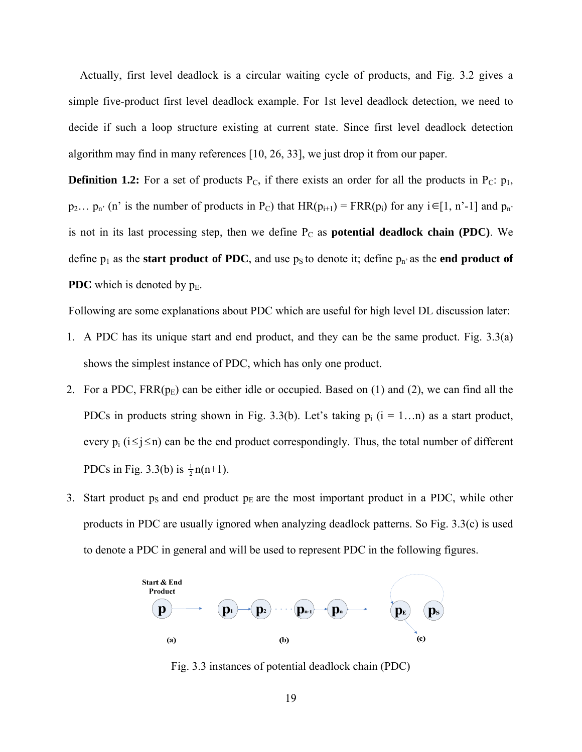Actually, first level deadlock is a circular waiting cycle of products, and Fig. 3.2 gives a simple five-product first level deadlock example. For 1st level deadlock detection, we need to decide if such a loop structure existing at current state. Since first level deadlock detection algorithm may find in many references [10, 26, 33], we just drop it from our paper.

**Definition 1.2:** For a set of products  $P_C$ , if there exists an order for all the products in  $P_C$ :  $p_1$ ,  $p_2... p_n$  (n' is the number of products in P<sub>C</sub>) that  $HR(p_{i+1}) = FRR(p_i)$  for any  $i \in [1, n'-1]$  and  $p_n$ . is not in its last processing step, then we define P<sub>C</sub> as **potential deadlock chain (PDC)**. We define  $p_1$  as the **start product of PDC**, and use  $p_S$  to denote it; define  $p_n$  as the **end product of PDC** which is denoted by  $p_E$ .

Following are some explanations about PDC which are useful for high level DL discussion later:

- 1. A PDC has its unique start and end product, and they can be the same product. Fig. 3.3(a) shows the simplest instance of PDC, which has only one product.
- 2. For a PDC,  $FRR(p_E)$  can be either idle or occupied. Based on (1) and (2), we can find all the PDCs in products string shown in Fig. 3.3(b). Let's taking  $p_i$  ( $i = 1...n$ ) as a start product, every  $p_i$  ( $i \le j \le n$ ) can be the end product correspondingly. Thus, the total number of different PDCs in Fig. 3.3(b) is  $\frac{1}{2}n(n+1)$ .
- 3. Start product  $p_S$  and end product  $p_E$  are the most important product in a PDC, while other products in PDC are usually ignored when analyzing deadlock patterns. So Fig. 3.3(c) is used to denote a PDC in general and will be used to represent PDC in the following figures.



Fig. 3.3 instances of potential deadlock chain (PDC)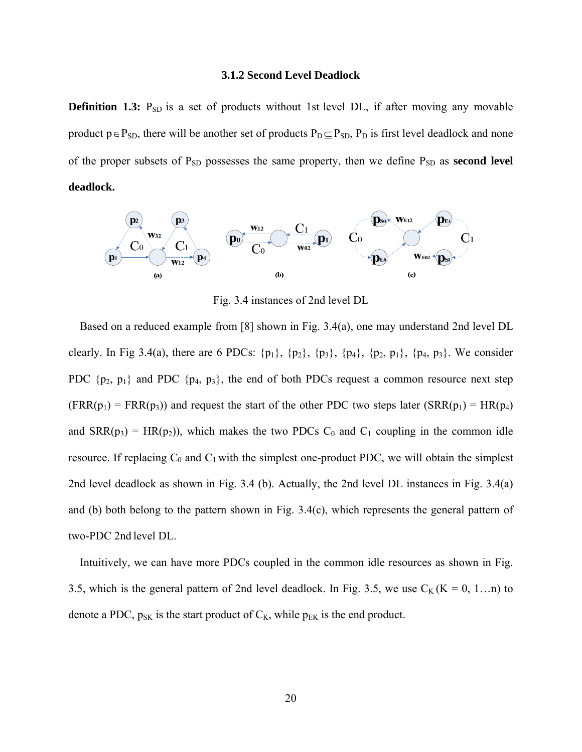#### **3.1.2 Second Level Deadlock**

**Definition 1.3:** P<sub>SD</sub> is a set of products without 1st level DL, if after moving any movable product  $p \in P_{SD}$ , there will be another set of products  $P_D \subseteq P_{SD}$ ,  $P_D$  is first level deadlock and none of the proper subsets of  $P_{SD}$  possesses the same property, then we define  $P_{SD}$  as **second level deadlock.**



Fig. 3.4 instances of 2nd level DL

Based on a reduced example from [8] shown in Fig. 3.4(a), one may understand 2nd level DL clearly. In Fig 3.4(a), there are 6 PDCs:  $\{p_1\}$ ,  $\{p_2\}$ ,  $\{p_3\}$ ,  $\{p_4\}$ ,  $\{p_2, p_1\}$ ,  $\{p_4, p_3\}$ . We consider PDC  $\{p_2, p_1\}$  and PDC  $\{p_4, p_3\}$ , the end of both PDCs request a common resource next step  $(FRR(p_1) = FRR(p_3))$  and request the start of the other PDC two steps later  $(SRR(p_1) = HR(p_4))$ and  $SRR(p_3) = HR(p_2)$ , which makes the two PDCs C<sub>0</sub> and C<sub>1</sub> coupling in the common idle resource. If replacing  $C_0$  and  $C_1$  with the simplest one-product PDC, we will obtain the simplest 2nd level deadlock as shown in Fig. 3.4 (b). Actually, the 2nd level DL instances in Fig. 3.4(a) and (b) both belong to the pattern shown in Fig. 3.4(c), which represents the general pattern of two-PDC 2nd level DL.

Intuitively, we can have more PDCs coupled in the common idle resources as shown in Fig. 3.5, which is the general pattern of 2nd level deadlock. In Fig. 3.5, we use  $C_K$  (K = 0, 1...n) to denote a PDC,  $p_{SK}$  is the start product of  $C_K$ , while  $p_{EK}$  is the end product.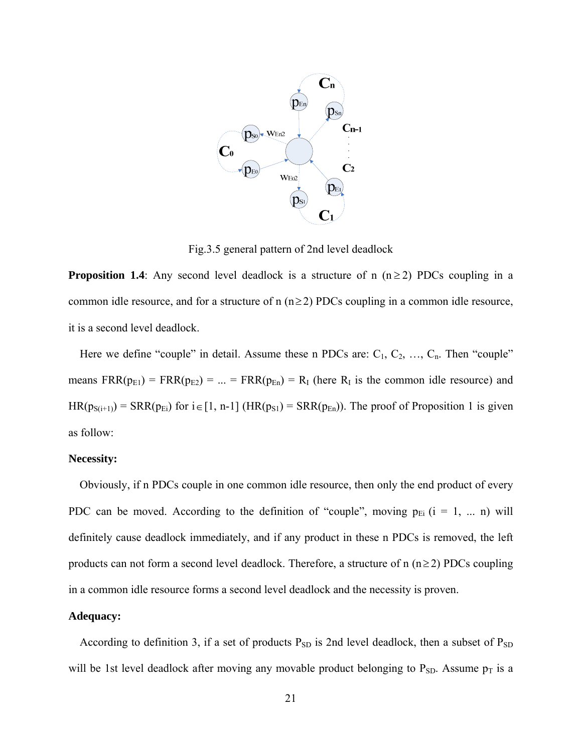

Fig.3.5 general pattern of 2nd level deadlock

**Proposition 1.4**: Any second level deadlock is a structure of n  $(n \ge 2)$  PDCs coupling in a common idle resource, and for a structure of n  $(n \ge 2)$  PDCs coupling in a common idle resource, it is a second level deadlock.

Here we define "couple" in detail. Assume these n PDCs are:  $C_1, C_2, ..., C_n$ . Then "couple" means  $FRR(p<sub>E1</sub>) = FRR(p<sub>E2</sub>) = ... = FRR(p<sub>En</sub>) = R<sub>I</sub>$  (here R<sub>I</sub> is the common idle resource) and  $HR(p_{S(i+1)}) = SRR(p_{Ei})$  for  $i \in [1, n-1]$  (HR( $p_{S1}$ ) = SRR( $p_{En}$ )). The proof of Proposition 1 is given as follow:

#### **Necessity:**

Obviously, if n PDCs couple in one common idle resource, then only the end product of every PDC can be moved. According to the definition of "couple", moving  $p_{Ei}$  ( $i = 1, ... n$ ) will definitely cause deadlock immediately, and if any product in these n PDCs is removed, the left products can not form a second level deadlock. Therefore, a structure of  $n (n \ge 2)$  PDCs coupling in a common idle resource forms a second level deadlock and the necessity is proven.

### **Adequacy:**

According to definition 3, if a set of products  $P_{SD}$  is 2nd level deadlock, then a subset of  $P_{SD}$ will be 1st level deadlock after moving any movable product belonging to  $P_{SD}$ . Assume  $p_T$  is a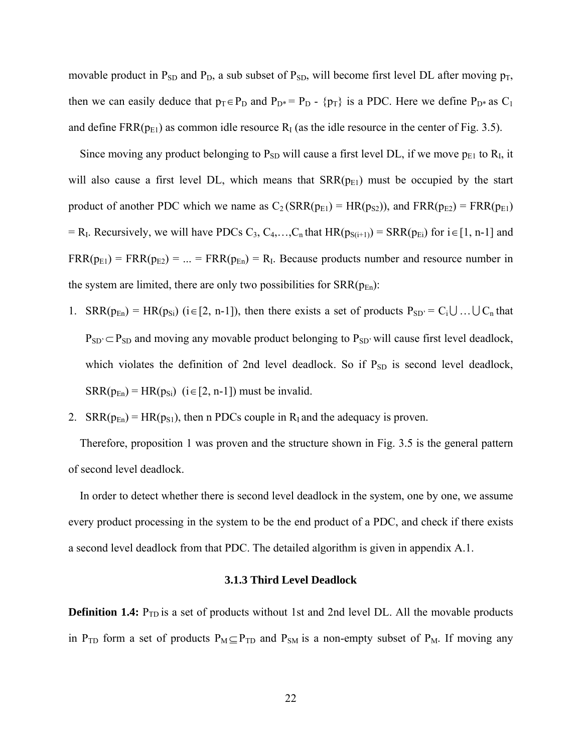movable product in  $P_{SD}$  and  $P_{D}$ , a sub subset of  $P_{SD}$ , will become first level DL after moving  $p_T$ , then we can easily deduce that  $p_T \in P_D$  and  $P_{D^*} = P_D$  - { $p_T$ } is a PDC. Here we define  $P_{D^*}$  as C<sub>1</sub> and define  $FRR(p<sub>E1</sub>)$  as common idle resource  $R<sub>I</sub>$  (as the idle resource in the center of Fig. 3.5).

Since moving any product belonging to  $P_{SD}$  will cause a first level DL, if we move  $p_{E1}$  to  $R_I$ , it will also cause a first level DL, which means that  $SRR(p<sub>E1</sub>)$  must be occupied by the start product of another PDC which we name as  $C_2(SRR(p_{E1}) = HR(p_{S2}))$ , and  $FRR(p_{E2}) = FRR(p_{E1})$  $=$  R<sub>I</sub>. Recursively, we will have PDCs C<sub>3</sub>, C<sub>4</sub>,...,C<sub>n</sub> that HR( $p_{S(i+1)}$ ) = SRR( $p_{Ei}$ ) for i $\in$  [1, n-1] and  $FRR(p<sub>E1</sub>) = FRR(p<sub>E2</sub>) = ... = FRR(p<sub>En</sub>) = R<sub>I</sub>$ . Because products number and resource number in the system are limited, there are only two possibilities for  $SRR(p_{En})$ :

- 1. SRR( $p_{En}$ ) = HR( $p_{Si}$ ) (i  $\in$  [2, n-1]), then there exists a set of products  $P_{SD'} = C_i \cup ... \cup C_n$  that  $P_{SD'} \subset P_{SD}$  and moving any movable product belonging to  $P_{SD'}$  will cause first level deadlock, which violates the definition of 2nd level deadlock. So if  $P_{SD}$  is second level deadlock,  $SRR(p_{En}) = HR(p_{Si})$  (i  $\in$  [2, n-1]) must be invalid.
- 2.  $SRR(p_{En}) = HR(p_{S1})$ , then n PDCs couple in R<sub>I</sub> and the adequacy is proven.

Therefore, proposition 1 was proven and the structure shown in Fig. 3.5 is the general pattern of second level deadlock.

In order to detect whether there is second level deadlock in the system, one by one, we assume every product processing in the system to be the end product of a PDC, and check if there exists a second level deadlock from that PDC. The detailed algorithm is given in appendix A.1.

#### **3.1.3 Third Level Deadlock**

**Definition 1.4:** P<sub>TD</sub> is a set of products without 1st and 2nd level DL. All the movable products in P<sub>TD</sub> form a set of products  $P_M \subseteq P_{TD}$  and P<sub>SM</sub> is a non-empty subset of P<sub>M</sub>. If moving any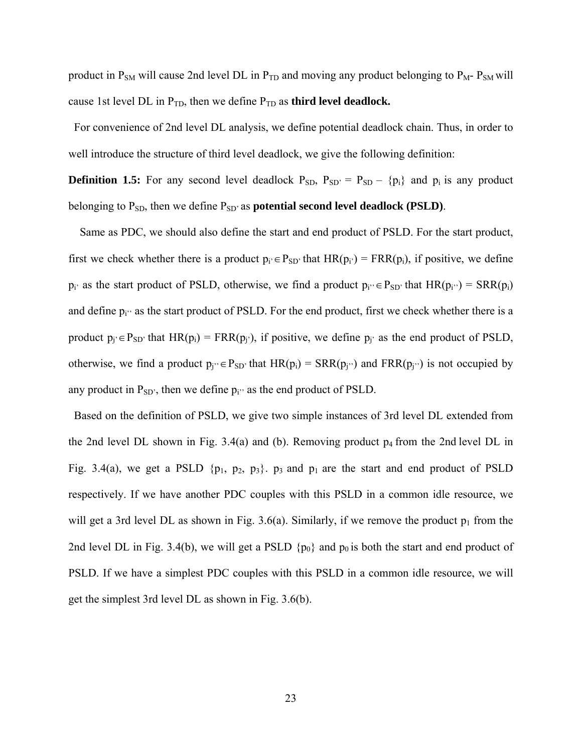product in  $P_{SM}$  will cause 2nd level DL in  $P_{TD}$  and moving any product belonging to  $P_M$ -  $P_{SM}$  will cause 1st level DL in  $P_{TD}$ , then we define  $P_{TD}$  as **third level deadlock.** 

For convenience of 2nd level DL analysis, we define potential deadlock chain. Thus, in order to well introduce the structure of third level deadlock, we give the following definition:

**Definition 1.5:** For any second level deadlock  $P_{SD}$ ,  $P_{SD'} = P_{SD} - \{p_i\}$  and  $p_i$  is any product belonging to P<sub>SD</sub>, then we define P<sub>SD</sub>' as **potential second level deadlock (PSLD)**.

Same as PDC, we should also define the start and end product of PSLD. For the start product, first we check whether there is a product  $p_i \in P_{SD'}$  that  $HR(p_i) = FRR(p_i)$ , if positive, we define  $p_i'$  as the start product of PSLD, otherwise, we find a product  $p_i' \in P_{SD'}$  that  $HR(p_i'') = SRR(p_i)$ and define  $p_i'$  as the start product of PSLD. For the end product, first we check whether there is a product  $p_i \in P_{SD}$  that  $HR(p_i) = FRR(p_i)$ , if positive, we define  $p_i$  as the end product of PSLD, otherwise, we find a product  $p_i' \in P_{SD'}$  that  $HR(p_i) = SRR(p_i'')$  and  $FRR(p_i'')$  is not occupied by any product in  $P_{SD'}$ , then we define  $p_i$ <sup>3</sup> as the end product of PSLD.

Based on the definition of PSLD, we give two simple instances of 3rd level DL extended from the 2nd level DL shown in Fig.  $3.4(a)$  and (b). Removing product  $p_4$  from the 2nd level DL in Fig. 3.4(a), we get a PSLD  $\{p_1, p_2, p_3\}$ .  $p_3$  and  $p_1$  are the start and end product of PSLD respectively. If we have another PDC couples with this PSLD in a common idle resource, we will get a 3rd level DL as shown in Fig. 3.6(a). Similarly, if we remove the product  $p_1$  from the 2nd level DL in Fig. 3.4(b), we will get a PSLD  $\{p_0\}$  and  $p_0$  is both the start and end product of PSLD. If we have a simplest PDC couples with this PSLD in a common idle resource, we will get the simplest 3rd level DL as shown in Fig. 3.6(b).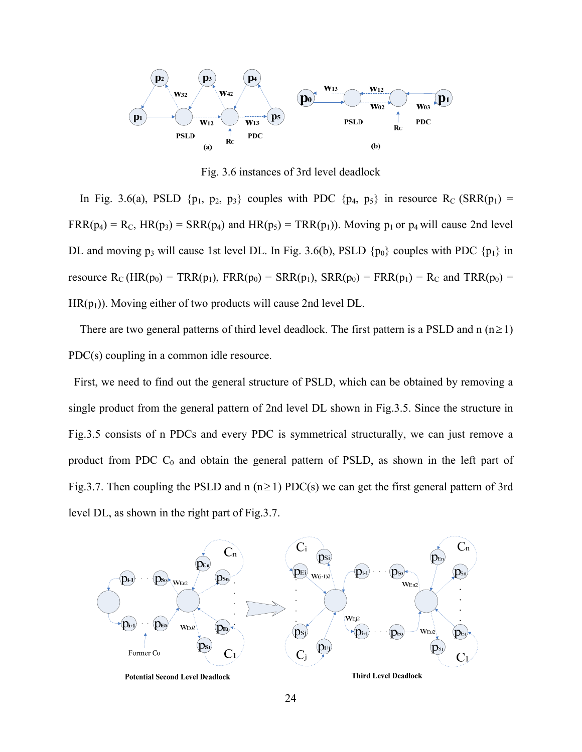

Fig. 3.6 instances of 3rd level deadlock

In Fig. 3.6(a), PSLD { $p_1$ ,  $p_2$ ,  $p_3$ } couples with PDC { $p_4$ ,  $p_5$ } in resource R<sub>C</sub> (SRR( $p_1$ ) =  $FRR(p_4) = R_C$ ,  $HR(p_3) = SRR(p_4)$  and  $HR(p_5) = TRR(p_1)$ . Moving  $p_1$  or  $p_4$  will cause 2nd level DL and moving p<sub>3</sub> will cause 1st level DL. In Fig. 3.6(b), PSLD  $\{p_0\}$  couples with PDC  $\{p_1\}$  in resource  $R_C$  (HR( $p_0$ ) = TRR( $p_1$ ), FRR( $p_0$ ) = SRR( $p_1$ ), SRR( $p_0$ ) = FRR( $p_1$ ) =  $R_C$  and TRR( $p_0$ ) =  $HR(p_1)$ ). Moving either of two products will cause 2nd level DL.

There are two general patterns of third level deadlock. The first pattern is a PSLD and n  $(n\geq 1)$ PDC(s) coupling in a common idle resource.

 First, we need to find out the general structure of PSLD, which can be obtained by removing a single product from the general pattern of 2nd level DL shown in Fig.3.5. Since the structure in Fig.3.5 consists of n PDCs and every PDC is symmetrical structurally, we can just remove a product from PDC  $C_0$  and obtain the general pattern of PSLD, as shown in the left part of Fig. 3.7. Then coupling the PSLD and n ( $n \ge 1$ ) PDC(s) we can get the first general pattern of 3rd level DL, as shown in the right part of Fig.3.7.

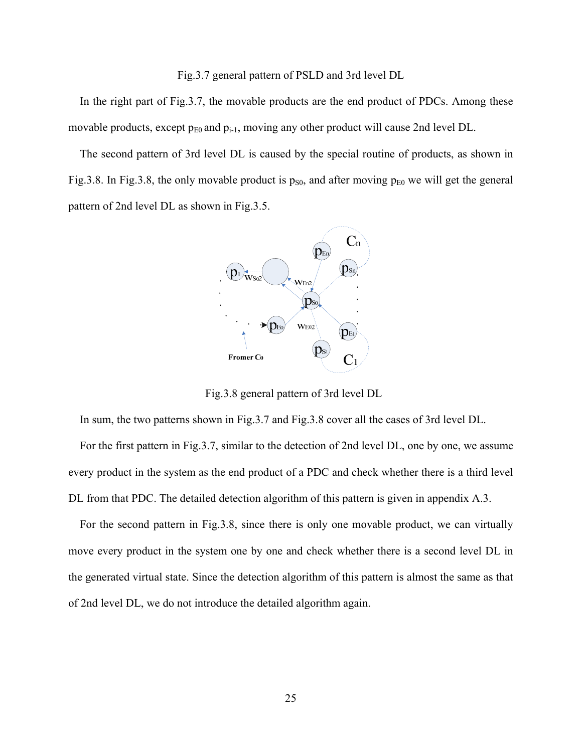#### Fig.3.7 general pattern of PSLD and 3rd level DL

In the right part of Fig.3.7, the movable products are the end product of PDCs. Among these movable products, except  $p_{E0}$  and  $p_{i-1}$ , moving any other product will cause 2nd level DL.

The second pattern of 3rd level DL is caused by the special routine of products, as shown in Fig.3.8. In Fig.3.8, the only movable product is  $p_{S0}$ , and after moving  $p_{E0}$  we will get the general pattern of 2nd level DL as shown in Fig.3.5.



Fig.3.8 general pattern of 3rd level DL

In sum, the two patterns shown in Fig.3.7 and Fig.3.8 cover all the cases of 3rd level DL.

For the first pattern in Fig.3.7, similar to the detection of 2nd level DL, one by one, we assume every product in the system as the end product of a PDC and check whether there is a third level DL from that PDC. The detailed detection algorithm of this pattern is given in appendix A.3.

For the second pattern in Fig.3.8, since there is only one movable product, we can virtually move every product in the system one by one and check whether there is a second level DL in the generated virtual state. Since the detection algorithm of this pattern is almost the same as that of 2nd level DL, we do not introduce the detailed algorithm again.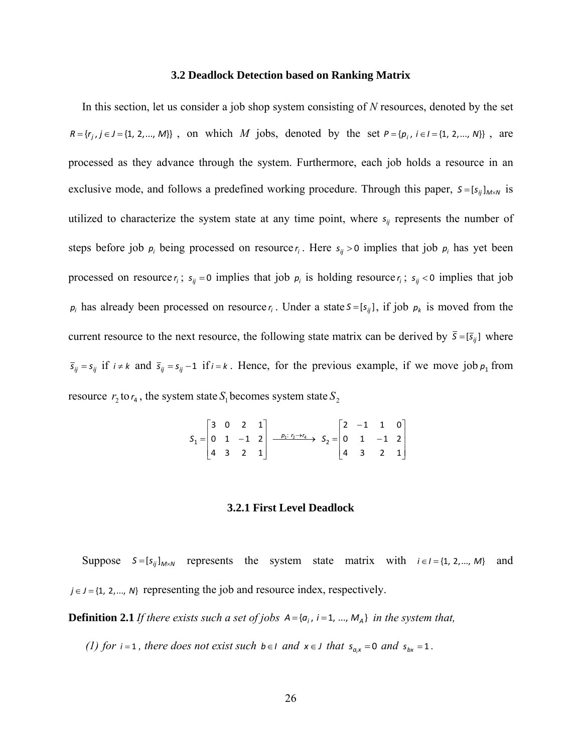#### **3.2 Deadlock Detection based on Ranking Matrix**

In this section, let us consider a job shop system consisting of *N* resources, denoted by the set  $R = \{r_i, j \in J = \{1, 2, ..., M\}\}\;$ , on which *M* jobs, denoted by the set  $P = \{p_i, i \in I = \{1, 2, ..., N\}\}\;$ , are processed as they advance through the system. Furthermore, each job holds a resource in an exclusive mode, and follows a predefined working procedure. Through this paper,  $S = [s_{ij}]_{M \times N}$  is utilized to characterize the system state at any time point, where  $s_{ij}$  represents the number of steps before job  $p_i$  being processed on resource  $r_i$ . Here  $s_{ij} > 0$  implies that job  $p_i$  has yet been processed on resource  $r_i$ ;  $s_{ij} = 0$  implies that job  $p_i$  is holding resource  $r_i$ ;  $s_{ij} < 0$  implies that job  $p_i$  has already been processed on resource  $r_i$ . Under a state  $S = [s_{ij}]$ , if job  $p_k$  is moved from the current resource to the next resource, the following state matrix can be derived by  $\bar{s} = [\bar{s}_{ij}]$  where  $\bar{s}_{ij} = s_{ij}$  if  $i \neq k$  and  $\bar{s}_{ij} = s_{ij} - 1$  if  $i = k$ . Hence, for the previous example, if we move job  $p_1$  from resource  $r_2$  to  $r_4$ , the system state  $S_1$  becomes system state  $S_2$ 

> $\overline{\phantom{a}}$  $\overline{\phantom{a}}$  $\overline{\phantom{a}}$  $\overline{\phantom{a}}$  $\overline{\phantom{a}}$  $\mathsf{I}$  $\mathbb{I}$  $\mathbb{I}$ L  $\mathbf{r}$  $\overline{a}$  $\overline{a}$  $\frac{p_1: r_2 \rightarrow r_4}{r_1}$ ,  $S_2 =$  $\overline{\phantom{a}}$  $\overline{\phantom{a}}$  $\overline{\phantom{a}}$ J  $\overline{\phantom{a}}$  $\mathbf{r}$ L L L L  $= | 0 \t1 -1 \t2 | \tfrac{p_1: r_2 \rightarrow}{ }$ 4 3 2 1  $0 \t1 \t-1 \t2$  $2 -1 1 0$  $\longrightarrow$   $\longrightarrow$   $\longrightarrow$   $\longrightarrow$ 4 3 2 1  $0 \t1 \t-1 \t2$ 3 0 2 1  $S_1 = \begin{vmatrix} 0 & 1 & -1 & 2 \end{vmatrix} \xrightarrow{p_1: r_2 \rightarrow r_4} S_2$

#### **3.2.1 First Level Deadlock**

Suppose  $S = [s_{ij}]_{M \times N}$  represents the system state matrix with  $i \in I = \{1, 2, ..., M\}$  and  $j \in J = \{1, 2, \ldots, N\}$  representing the job and resource index, respectively.

**Definition 2.1** *If there exists such a set of jobs*  $A = \{a_i, i = 1, ..., M_A\}$  *in the system that,* 

*(1) for*  $i = 1$ *, there does not exist such b*  $\in$  *I and*  $x \in J$  *that*  $s_{a,x} = 0$  *and*  $s_{bx} = 1$ *.*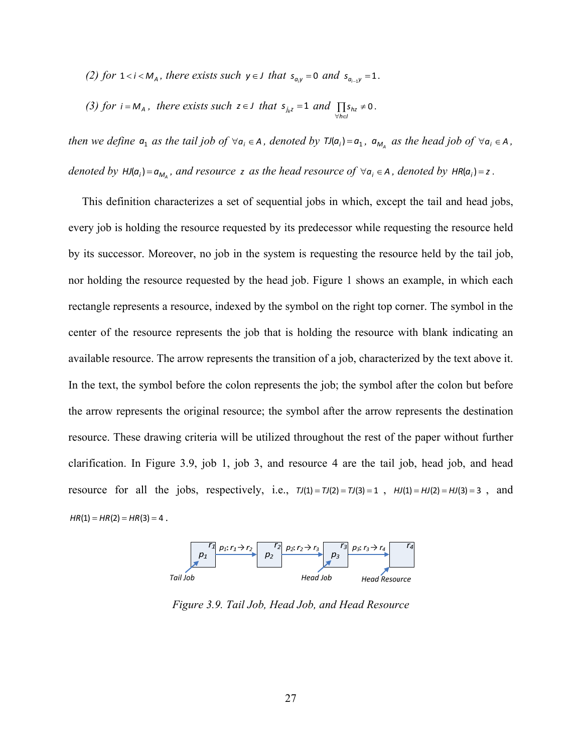*(2) for*  $1 < i < M_A$ *, there exists such*  $y \in J$  *that*  $s_{a,y} = 0$  *and*  $s_{a_{i-1}y} = 1$ *.* 

(3) for 
$$
i = M_A
$$
, there exists such  $z \in J$  that  $s_{j_k z} = 1$  and  $\prod_{\forall h \in J} s_{hz} \neq 0$ .

*then we define*  $a_1$  *as the tail job of*  $\forall a_i \in A$ *, denoted by*  $\text{TI}(a_i) = a_1$ *,*  $a_{M_A}$  *<i>as the head job of*  $\forall a_i \in A$ *, denoted by*  $HJ(a_i) = a_{M_A}$ *, and resource z as the head resource of*  $\forall a_i \in A$ *, denoted by*  $HR(a_i) = z$ .

This definition characterizes a set of sequential jobs in which, except the tail and head jobs, every job is holding the resource requested by its predecessor while requesting the resource held by its successor. Moreover, no job in the system is requesting the resource held by the tail job, nor holding the resource requested by the head job. Figure 1 shows an example, in which each rectangle represents a resource, indexed by the symbol on the right top corner. The symbol in the center of the resource represents the job that is holding the resource with blank indicating an available resource. The arrow represents the transition of a job, characterized by the text above it. In the text, the symbol before the colon represents the job; the symbol after the colon but before the arrow represents the original resource; the symbol after the arrow represents the destination resource. These drawing criteria will be utilized throughout the rest of the paper without further clarification. In Figure 3.9, job 1, job 3, and resource 4 are the tail job, head job, and head resource for all the jobs, respectively, i.e.,  $\tau J(1) = \tau J(2) = \tau J(3) = 1$ ,  $HJ(1) = HJ(2) = HJ(3) = 3$ , and  $HR(1) = HR(2) = HR(3) = 4$ .



*Figure 3.9. Tail Job, Head Job, and Head Resource*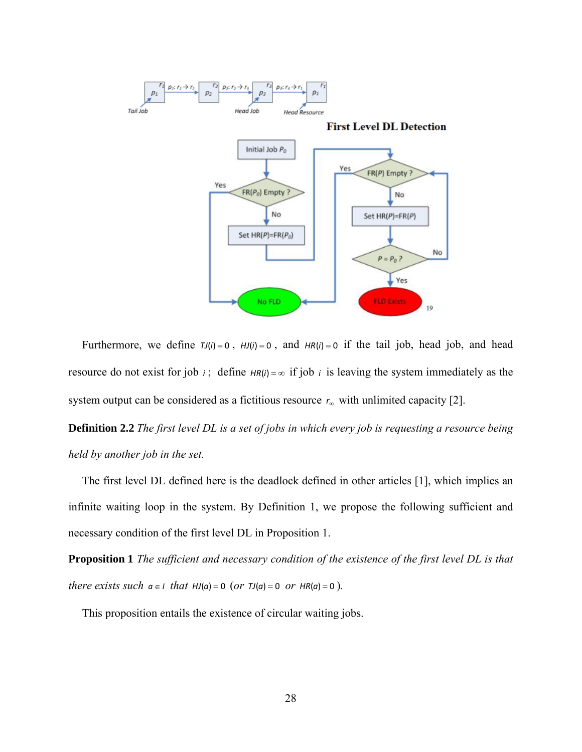

Furthermore, we define  $TJ(i) = 0$ ,  $HJ(i) = 0$ , and  $HR(i) = 0$  if the tail job, head job, and head resource do not exist for job *i*; define  $HR(i) = \infty$  if job *i* is leaving the system immediately as the system output can be considered as a fictitious resource  $r_{\infty}$  with unlimited capacity [2].

**Definition 2.2** *The first level DL is a set of jobs in which every job is requesting a resource being held by another job in the set.* 

The first level DL defined here is the deadlock defined in other articles [1], which implies an infinite waiting loop in the system. By Definition 1, we propose the following sufficient and necessary condition of the first level DL in Proposition 1.

**Proposition 1** *The sufficient and necessary condition of the existence of the first level DL is that there exists such*  $a \in I$  *that*  $HJ(a) = 0$  (*or*  $TJ(a) = 0$  *or*  $HR(a) = 0$ ).

This proposition entails the existence of circular waiting jobs.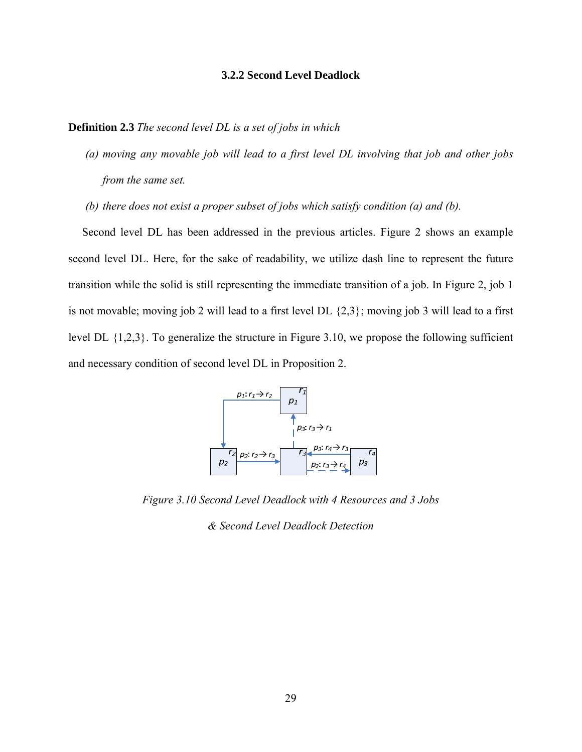#### **3.2.2 Second Level Deadlock**

**Definition 2.3** *The second level DL is a set of jobs in which* 

- *(a) moving any movable job will lead to a first level DL involving that job and other jobs from the same set.*
- *(b) there does not exist a proper subset of jobs which satisfy condition (a) and (b).*

Second level DL has been addressed in the previous articles. Figure 2 shows an example second level DL. Here, for the sake of readability, we utilize dash line to represent the future transition while the solid is still representing the immediate transition of a job. In Figure 2, job 1 is not movable; moving job 2 will lead to a first level DL {2,3}; moving job 3 will lead to a first level DL {1,2,3}. To generalize the structure in Figure 3.10, we propose the following sufficient and necessary condition of second level DL in Proposition 2.



*Figure 3.10 Second Level Deadlock with 4 Resources and 3 Jobs* 

*& Second Level Deadlock Detection*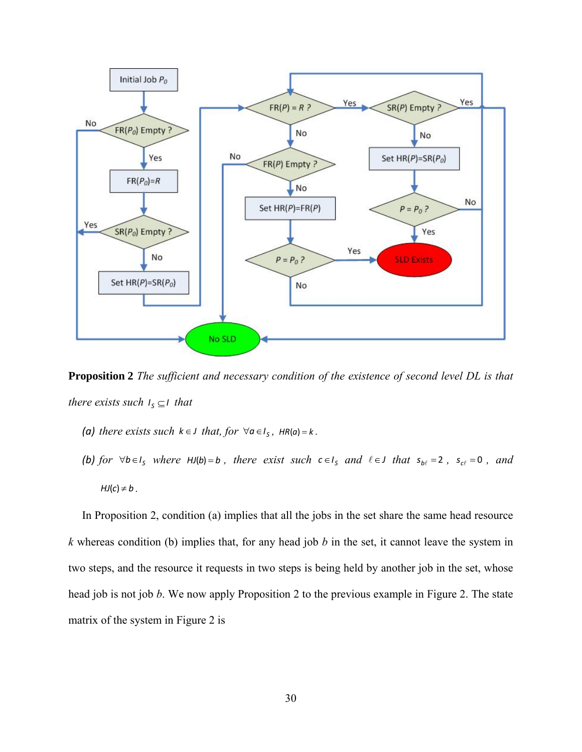

**Proposition 2** *The sufficient and necessary condition of the existence of second level DL is that there exists such*  $I_s \subseteq I$  *that* 

- *(a) there exists such*  $k \in J$  *that, for*  $\forall a \in I_s$ *,*  $HR(a) = k$ *.*
- *(b) for*  $\forall b \in I_s$  *where*  $HJ(b) = b$ , *there exist such*  $c \in I_s$  *and*  $l \in J$  *that*  $s_{b\ell} = 2$ ,  $s_{c\ell} = 0$ , *and*  $HJ(c) \neq b$ .

In Proposition 2, condition (a) implies that all the jobs in the set share the same head resource *k* whereas condition (b) implies that, for any head job *b* in the set, it cannot leave the system in two steps, and the resource it requests in two steps is being held by another job in the set, whose head job is not job *b*. We now apply Proposition 2 to the previous example in Figure 2. The state matrix of the system in Figure 2 is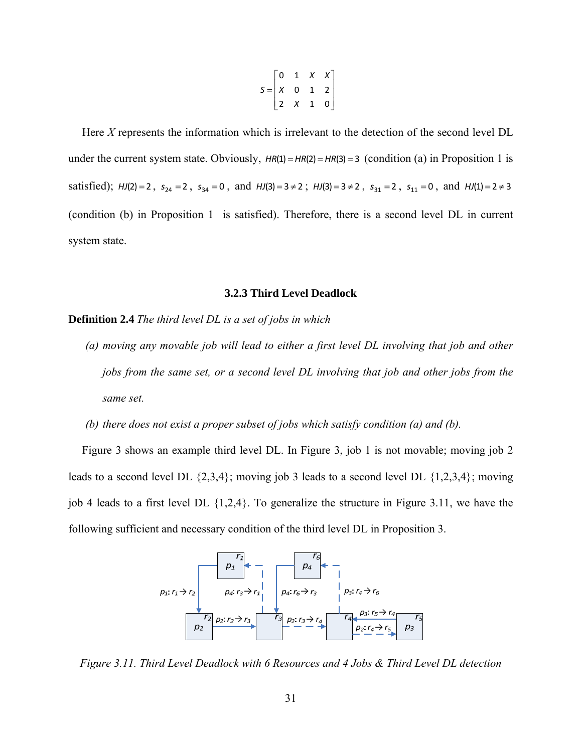$$
S = \begin{bmatrix} 0 & 1 & X & X \\ X & 0 & 1 & 2 \\ 2 & X & 1 & 0 \end{bmatrix}
$$

Here *X* represents the information which is irrelevant to the detection of the second level DL under the current system state. Obviously,  $HR(1) = HR(2) = HR(3) = 3$  (condition (a) in Proposition 1 is satisfied);  $HJ(2) = 2$ ,  $s_{24} = 2$ ,  $s_{34} = 0$ , and  $HJ(3) = 3 \neq 2$ ;  $HJ(3) = 3 \neq 2$ ,  $s_{31} = 2$ ,  $s_{11} = 0$ , and  $HJ(1) = 2 \neq 3$ (condition (b) in Proposition 1 is satisfied). Therefore, there is a second level DL in current system state.

#### **3.2.3 Third Level Deadlock**

**Definition 2.4** *The third level DL is a set of jobs in which* 

*(a) moving any movable job will lead to either a first level DL involving that job and other jobs from the same set, or a second level DL involving that job and other jobs from the same set.* 

*(b) there does not exist a proper subset of jobs which satisfy condition (a) and (b).* 

Figure 3 shows an example third level DL. In Figure 3, job 1 is not movable; moving job 2 leads to a second level DL {2,3,4}; moving job 3 leads to a second level DL {1,2,3,4}; moving job 4 leads to a first level DL {1,2,4}. To generalize the structure in Figure 3.11, we have the following sufficient and necessary condition of the third level DL in Proposition 3.



*Figure 3.11. Third Level Deadlock with 6 Resources and 4 Jobs & Third Level DL detection*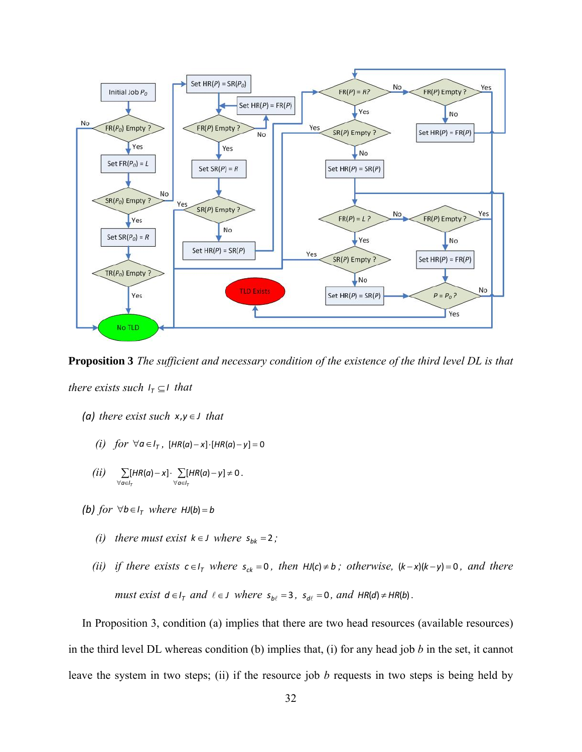

**Proposition 3** *The sufficient and necessary condition of the existence of the third level DL is that there exists such*  $I<sub>T</sub> \subseteq I$  *that* 

- *(a) there exist such*  $x, y \in J$  *that* 
	- *(i)*  $for \ \forall a \in I_{\tau}$ ,  $[HR(a) x] \cdot [HR(a) y] = 0$
	- $(ii) \sum [HR(a)-x] \cdot \sum [HR(a)-y] \neq 0$  $\forall a \in I_{\tau}$   $\forall a \in I_{\tau}$  $HR(a) - x$   $\}$   $\sum [HR(a) - y] \neq 0$ .
- *(b) for*  $\forall b \in I_{\tau}$  *where*  $HJ(b) = b$ 
	- *(i) there must exist*  $k \in J$  *where*  $s_{bk} = 2$ ;
	- *(ii) if there exists*  $c \in I_T$  *where*  $s_{ck} = 0$ *, then*  $HJ(c) \neq b$ *; otherwise,*  $(k-x)(k-y) = 0$ *, and there must exist*  $d \in I_{\tau}$  *and*  $\ell \in J$  *where*  $s_{b\ell} = 3$ ,  $s_{d\ell} = 0$ , *and*  $HR(d) \neq HR(b)$ .

In Proposition 3, condition (a) implies that there are two head resources (available resources) in the third level DL whereas condition (b) implies that, (i) for any head job *b* in the set, it cannot leave the system in two steps; (ii) if the resource job *b* requests in two steps is being held by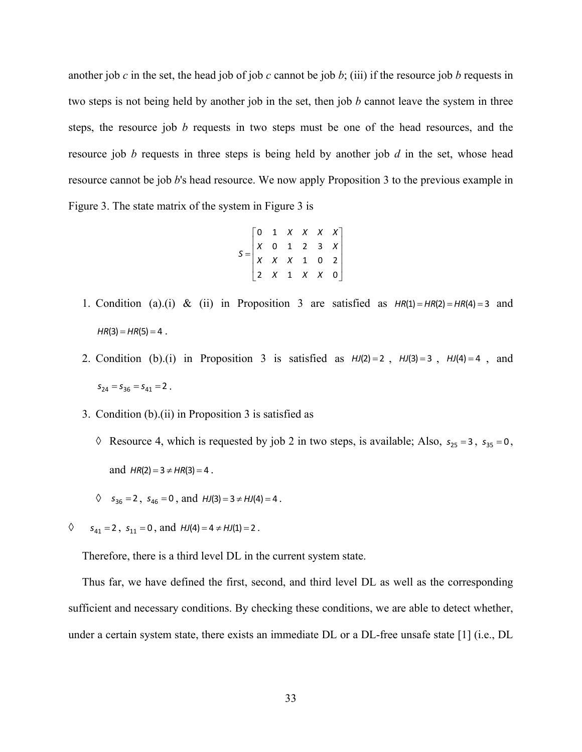another job *c* in the set, the head job of job *c* cannot be job *b*; (iii) if the resource job *b* requests in two steps is not being held by another job in the set, then job *b* cannot leave the system in three steps, the resource job *b* requests in two steps must be one of the head resources, and the resource job *b* requests in three steps is being held by another job *d* in the set, whose head resource cannot be job *b*'s head resource. We now apply Proposition 3 to the previous example in Figure 3. The state matrix of the system in Figure 3 is

$$
S = \begin{bmatrix} 0 & 1 & X & X & X & X \\ X & 0 & 1 & 2 & 3 & X \\ X & X & X & 1 & 0 & 2 \\ 2 & X & 1 & X & X & 0 \end{bmatrix}
$$

- 1. Condition (a).(i) & (ii) in Proposition 3 are satisfied as  $HR(1) = HR(2) = HR(4) = 3$  and  $HR(3) = HR(5) = 4$ .
- 2. Condition (b).(i) in Proposition 3 is satisfied as  $HJ(2)=2$ ,  $HJ(3)=3$ ,  $HJ(4)=4$ , and  $s_{24} = s_{36} = s_{41} = 2$ .
- 3. Condition (b).(ii) in Proposition 3 is satisfied as
	- $\Diamond$  Resource 4, which is requested by job 2 in two steps, is available; Also,  $s_{25} = 3$ ,  $s_{35} = 0$ , and  $HR(2) = 3 \neq HR(3) = 4$ .
	- $\Diamond$  *s*<sub>36</sub> = 2, *s*<sub>46</sub> = 0, and *HJ*(3) = 3  $\neq$  *HJ*(4) = 4.
- $\Diamond$  *s*<sub>41</sub> = 2, *s*<sub>11</sub> = 0, and *HJ*(4) = 4  $\neq$  *HJ*(1) = 2.

Therefore, there is a third level DL in the current system state.

Thus far, we have defined the first, second, and third level DL as well as the corresponding sufficient and necessary conditions. By checking these conditions, we are able to detect whether, under a certain system state, there exists an immediate DL or a DL-free unsafe state [1] (i.e., DL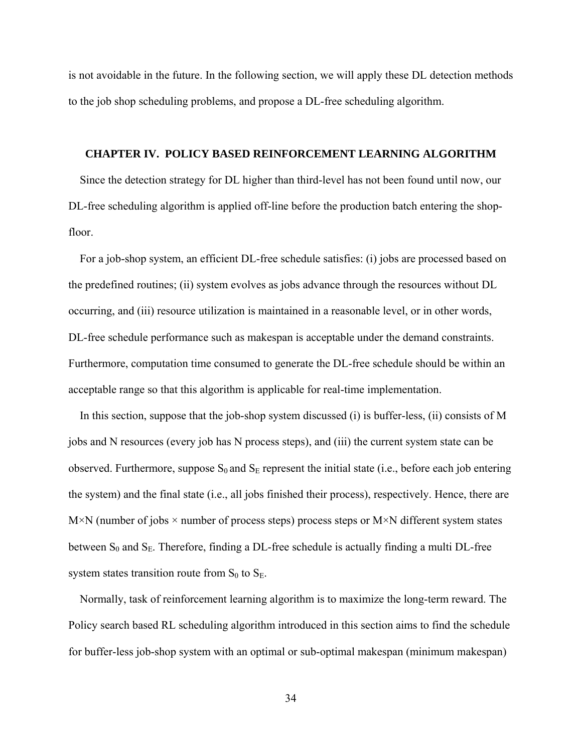is not avoidable in the future. In the following section, we will apply these DL detection methods to the job shop scheduling problems, and propose a DL-free scheduling algorithm.

#### **CHAPTER IV. POLICY BASED REINFORCEMENT LEARNING ALGORITHM**

Since the detection strategy for DL higher than third-level has not been found until now, our DL-free scheduling algorithm is applied off-line before the production batch entering the shopfloor.

For a job-shop system, an efficient DL-free schedule satisfies: (i) jobs are processed based on the predefined routines; (ii) system evolves as jobs advance through the resources without DL occurring, and (iii) resource utilization is maintained in a reasonable level, or in other words, DL-free schedule performance such as makespan is acceptable under the demand constraints. Furthermore, computation time consumed to generate the DL-free schedule should be within an acceptable range so that this algorithm is applicable for real-time implementation.

In this section, suppose that the job-shop system discussed (i) is buffer-less, (ii) consists of M jobs and N resources (every job has N process steps), and (iii) the current system state can be observed. Furthermore, suppose  $S_0$  and  $S_E$  represent the initial state (i.e., before each job entering the system) and the final state (i.e., all jobs finished their process), respectively. Hence, there are  $M\times N$  (number of jobs  $\times$  number of process steps) process steps or  $M\times N$  different system states between  $S_0$  and  $S_E$ . Therefore, finding a DL-free schedule is actually finding a multi DL-free system states transition route from  $S_0$  to  $S_E$ .

Normally, task of reinforcement learning algorithm is to maximize the long-term reward. The Policy search based RL scheduling algorithm introduced in this section aims to find the schedule for buffer-less job-shop system with an optimal or sub-optimal makespan (minimum makespan)

34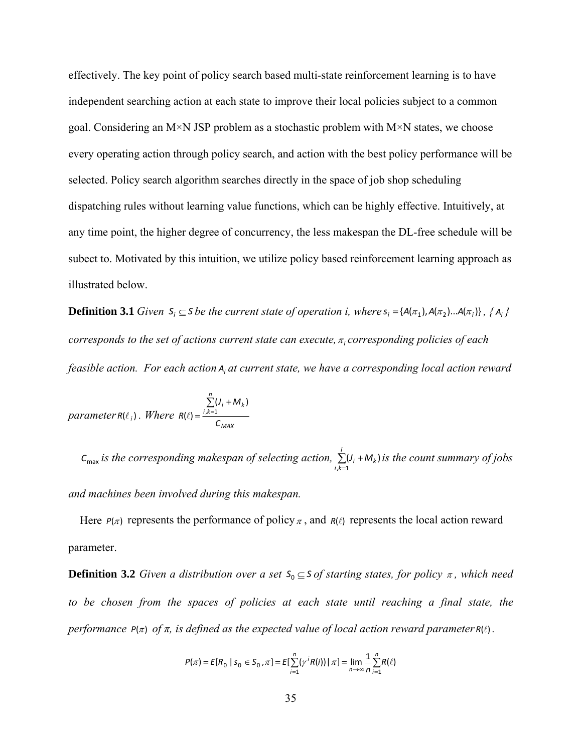effectively. The key point of policy search based multi-state reinforcement learning is to have independent searching action at each state to improve their local policies subject to a common goal. Considering an M×N JSP problem as a stochastic problem with M×N states, we choose every operating action through policy search, and action with the best policy performance will be selected. Policy search algorithm searches directly in the space of job shop scheduling dispatching rules without learning value functions, which can be highly effective. Intuitively, at any time point, the higher degree of concurrency, the less makespan the DL-free schedule will be subect to. Motivated by this intuition, we utilize policy based reinforcement learning approach as illustrated below.

**Definition 3.1** Given  $S_i \subseteq S$  be the current state of operation i, where  $S_i = \{A(\pi_1), A(\pi_2), \ldots, A(\pi_i)\}$ ,  $\{A_i\}$ *corresponds to the set of actions current state can execute,*  $\pi$  *corresponding policies of each feasible action. For each action Ai at current state, we have a corresponding local action reward* 

$$
parameter \, R(\ell_i) \, . \quad Where \, R(\ell) = \frac{\sum_{i,k=1}^{n}(J_i + M_k)}{C_{\text{MAX}}}
$$

 $c_{\text{max}}$  *is the corresponding makespan of selecting action,*  $\sum_{i,k=1} (J_i + M_k)$ *i*  $\sum_{i,k=1}$  $(J_i + M_k)$  *is the count summary of jobs* 

*and machines been involved during this makespan.* 

Here  $P(\pi)$  represents the performance of policy  $\pi$ , and  $R(\ell)$  represents the local action reward parameter.

**Definition 3.2** *Given a distribution over a set*  $S_0 \subseteq S$  *of starting states, for policy*  $\pi$ *, which need to be chosen from the spaces of policies at each state until reaching a final state, the performance*  $P(\pi)$  *of*  $\pi$ *, is defined as the expected value of local action reward parameter*  $R(\ell)$ *.* 

$$
P(\pi) = E[R_0 | S_0 \in S_0, \pi] = E[\sum_{i=1}^n (\gamma^i R(i)) | \pi] = \lim_{n \to \infty} \frac{1}{n} \sum_{i=1}^n R(\ell)
$$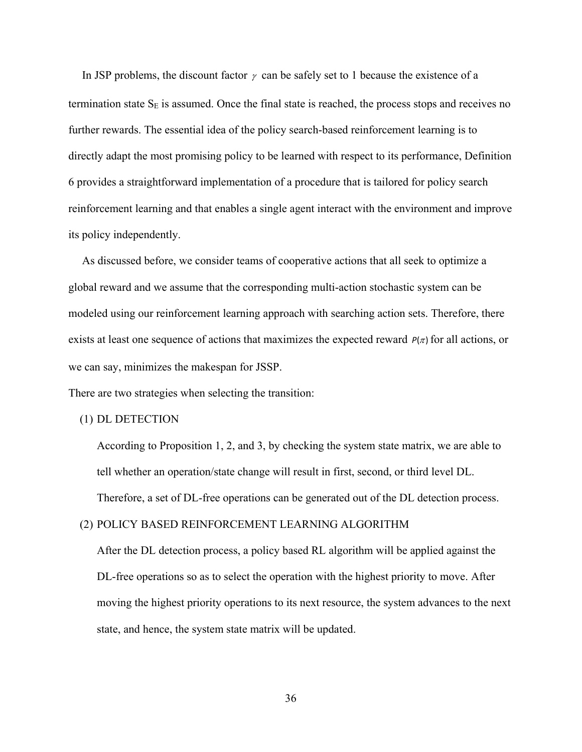In JSP problems, the discount factor  $\gamma$  can be safely set to 1 because the existence of a termination state  $S_E$  is assumed. Once the final state is reached, the process stops and receives no further rewards. The essential idea of the policy search-based reinforcement learning is to directly adapt the most promising policy to be learned with respect to its performance, Definition 6 provides a straightforward implementation of a procedure that is tailored for policy search reinforcement learning and that enables a single agent interact with the environment and improve its policy independently.

As discussed before, we consider teams of cooperative actions that all seek to optimize a global reward and we assume that the corresponding multi-action stochastic system can be modeled using our reinforcement learning approach with searching action sets. Therefore, there exists at least one sequence of actions that maximizes the expected reward  $P(\pi)$  for all actions, or we can say, minimizes the makespan for JSSP.

There are two strategies when selecting the transition:

#### (1) DL DETECTION

According to Proposition 1, 2, and 3, by checking the system state matrix, we are able to tell whether an operation/state change will result in first, second, or third level DL. Therefore, a set of DL-free operations can be generated out of the DL detection process.

# (2) POLICY BASED REINFORCEMENT LEARNING ALGORITHM

After the DL detection process, a policy based RL algorithm will be applied against the DL-free operations so as to select the operation with the highest priority to move. After moving the highest priority operations to its next resource, the system advances to the next state, and hence, the system state matrix will be updated.

36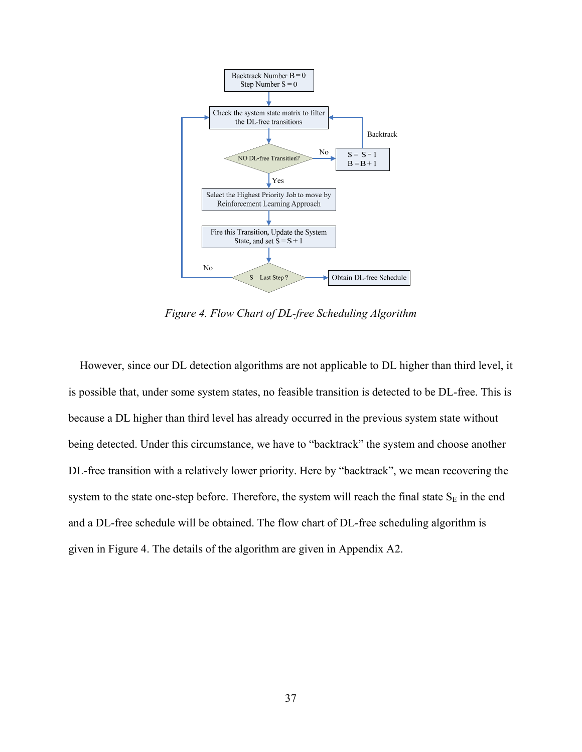

*Figure 4. Flow Chart of DL-free Scheduling Algorithm* 

However, since our DL detection algorithms are not applicable to DL higher than third level, it is possible that, under some system states, no feasible transition is detected to be DL-free. This is because a DL higher than third level has already occurred in the previous system state without being detected. Under this circumstance, we have to "backtrack" the system and choose another DL-free transition with a relatively lower priority. Here by "backtrack", we mean recovering the system to the state one-step before. Therefore, the system will reach the final state  $S_E$  in the end and a DL-free schedule will be obtained. The flow chart of DL-free scheduling algorithm is given in Figure 4. The details of the algorithm are given in Appendix A2.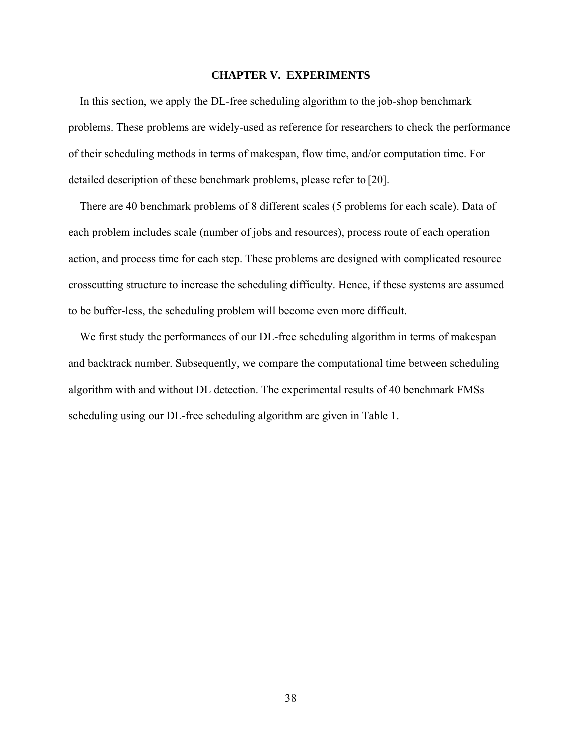# **CHAPTER V. EXPERIMENTS**

In this section, we apply the DL-free scheduling algorithm to the job-shop benchmark problems. These problems are widely-used as reference for researchers to check the performance of their scheduling methods in terms of makespan, flow time, and/or computation time. For detailed description of these benchmark problems, please refer to [20].

There are 40 benchmark problems of 8 different scales (5 problems for each scale). Data of each problem includes scale (number of jobs and resources), process route of each operation action, and process time for each step. These problems are designed with complicated resource crosscutting structure to increase the scheduling difficulty. Hence, if these systems are assumed to be buffer-less, the scheduling problem will become even more difficult.

We first study the performances of our DL-free scheduling algorithm in terms of makespan and backtrack number. Subsequently, we compare the computational time between scheduling algorithm with and without DL detection. The experimental results of 40 benchmark FMSs scheduling using our DL-free scheduling algorithm are given in Table 1.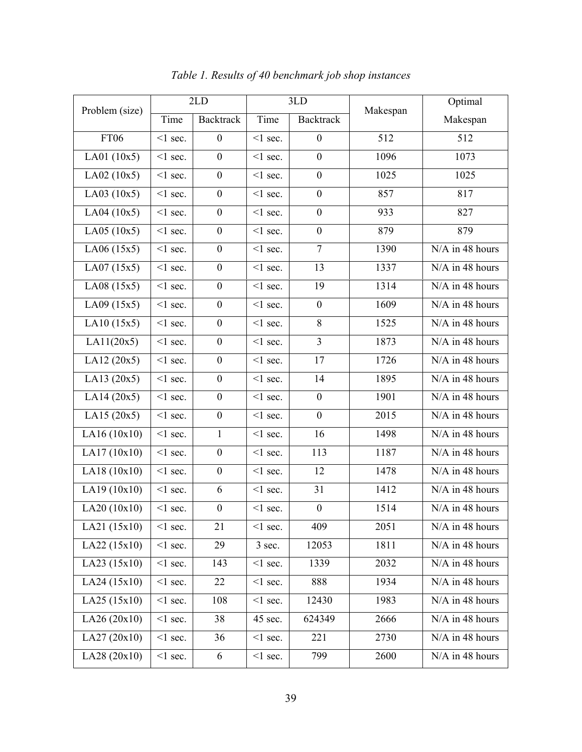| Problem (size) | 2LD           |                  | 3LD           |                  |          | Optimal         |
|----------------|---------------|------------------|---------------|------------------|----------|-----------------|
|                | Time          | <b>Backtrack</b> | Time          | <b>Backtrack</b> | Makespan | Makespan        |
| <b>FT06</b>    | $<$ 1 sec.    | $\boldsymbol{0}$ | $<$ 1 sec.    | $\boldsymbol{0}$ | 512      | 512             |
| LA01(10x5)     | $<$ 1 sec.    | $\boldsymbol{0}$ | $\leq$ 1 sec. | $\boldsymbol{0}$ | 1096     | 1073            |
| LA02(10x5)     | $\leq$ 1 sec. | $\boldsymbol{0}$ | $\leq$ 1 sec. | $\boldsymbol{0}$ | 1025     | 1025            |
| LA03(10x5)     | $<$ 1 sec.    | $\boldsymbol{0}$ | $<$ 1 sec.    | $\boldsymbol{0}$ | 857      | 817             |
| LA04(10x5)     | $\leq$ 1 sec. | $\boldsymbol{0}$ | $\leq$ 1 sec. | $\boldsymbol{0}$ | 933      | 827             |
| LA05(10x5)     | $\leq$ 1 sec. | $\boldsymbol{0}$ | $<$ 1 sec.    | $\boldsymbol{0}$ | 879      | 879             |
| LA06(15x5)     | $\leq$ 1 sec. | $\boldsymbol{0}$ | $<$ 1 sec.    | $\overline{7}$   | 1390     | N/A in 48 hours |
| LA07(15x5)     | $\leq$ 1 sec. | $\boldsymbol{0}$ | $\leq$ 1 sec. | 13               | 1337     | N/A in 48 hours |
| LA08(15x5)     | $<$ 1 sec.    | $\boldsymbol{0}$ | $<$ 1 sec.    | 19               | 1314     | N/A in 48 hours |
| LA09(15x5)     | $<$ 1 sec.    | $\boldsymbol{0}$ | $\leq$ 1 sec. | $\boldsymbol{0}$ | 1609     | N/A in 48 hours |
| LA10(15x5)     | $\leq$ 1 sec. | $\boldsymbol{0}$ | $\leq$ 1 sec. | 8                | 1525     | N/A in 48 hours |
| LA11(20x5)     | $\leq$ 1 sec. | $\boldsymbol{0}$ | $<$ 1 sec.    | $\mathfrak{Z}$   | 1873     | N/A in 48 hours |
| LA12(20x5)     | $\leq$ 1 sec. | $\boldsymbol{0}$ | $\leq$ sec.   | 17               | 1726     | N/A in 48 hours |
| LA13(20x5)     | $\leq$ 1 sec. | $\boldsymbol{0}$ | $\leq$ 1 sec. | 14               | 1895     | N/A in 48 hours |
| LA14(20x5)     | $\leq$ 1 sec. | $\boldsymbol{0}$ | $\leq$ 1 sec. | $\boldsymbol{0}$ | 1901     | N/A in 48 hours |
| LA15(20x5)     | $\leq$ 1 sec. | $\boldsymbol{0}$ | $\leq$ 1 sec. | $\boldsymbol{0}$ | 2015     | N/A in 48 hours |
| LA16(10x10)    | $\leq$ 1 sec. | $\mathbf{1}$     | $\leq$ 1 sec. | 16               | 1498     | N/A in 48 hours |
| LA17(10x10)    | $<$ 1 sec.    | $\boldsymbol{0}$ | $\leq$ 1 sec. | 113              | 1187     | N/A in 48 hours |
| LA18 (10x10)   | $\leq$ 1 sec. | $\boldsymbol{0}$ | $<$ 1 sec.    | 12               | 1478     | N/A in 48 hours |
| LA19(10x10)    | $\leq$ 1 sec. | 6                | $<$ 1 sec.    | 31               | 1412     | N/A in 48 hours |
| LA20 (10x10)   | $<$ 1 sec.    | $\boldsymbol{0}$ | $<$ 1 sec.    | $\boldsymbol{0}$ | 1514     | N/A in 48 hours |
| LA21 (15x10)   | $\leq$ 1 sec. | 21               | $\leq$ 1 sec. | 409              | 2051     | N/A in 48 hours |
| LA22 (15x10)   | $<$ 1 sec.    | 29               | 3 sec.        | 12053            | 1811     | N/A in 48 hours |
| LA23(15x10)    | $\leq$ 1 sec. | 143              | $\leq$ 1 sec. | 1339             | 2032     | N/A in 48 hours |
| LA24(15x10)    | $<$ 1 sec.    | 22               | $\leq$ 1 sec. | 888              | 1934     | N/A in 48 hours |
| LA25(15x10)    | $<$ 1 sec.    | 108              | $\leq$ 1 sec. | 12430            | 1983     | N/A in 48 hours |
| LA26(20x10)    | $<$ 1 sec.    | 38               | 45 sec.       | 624349           | 2666     | N/A in 48 hours |
| LA27(20x10)    | $\leq$ 1 sec. | 36               | $<$ 1 sec.    | 221              | 2730     | N/A in 48 hours |
| LA28 (20x10)   | $\leq$ 1 sec. | 6                | $\leq$ 1 sec. | 799              | 2600     | N/A in 48 hours |

*Table 1. Results of 40 benchmark job shop instances*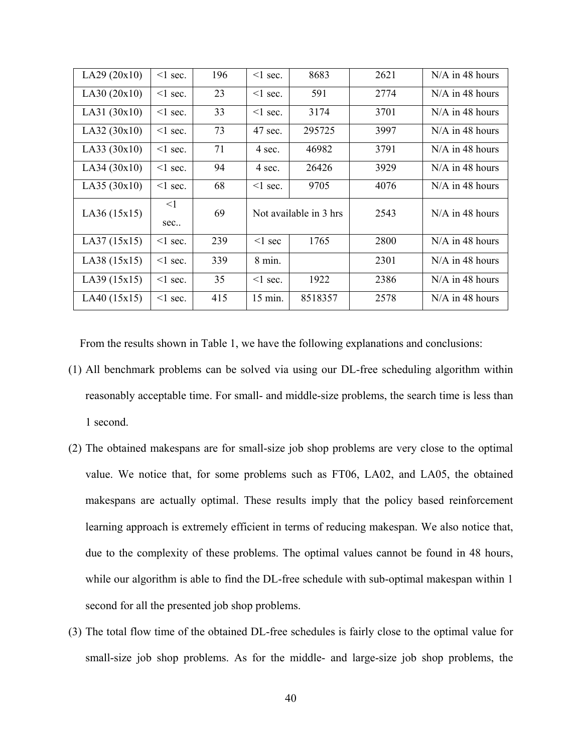| LA29(20x10)  | $\leq$ 1 sec.   | 196 | $\leq$ 1 sec.    | 8683                   | 2621 | $N/A$ in 48 hours |
|--------------|-----------------|-----|------------------|------------------------|------|-------------------|
| LA30(20x10)  | $\leq$ 1 sec.   | 23  | $\leq$ l sec.    | 591                    | 2774 | $N/A$ in 48 hours |
| LA31(30x10)  | $\leq$ 1 sec.   | 33  | $\leq$ l sec.    | 3174                   | 3701 | $N/A$ in 48 hours |
| LA32(30x10)  | $\leq$ 1 sec.   | 73  | 47 sec.          | 295725                 | 3997 | $N/A$ in 48 hours |
| LA33 (30x10) | $\leq$ sec.     | 71  | 4 sec.           | 46982                  | 3791 | $N/A$ in 48 hours |
| LA34(30x10)  | $\leq$ 1 sec.   | 94  | 4 sec.           | 26426                  | 3929 | $N/A$ in 48 hours |
| LA35(30x10)  | $\leq$ 1 sec.   | 68  | $\leq$ 1 sec.    | 9705                   | 4076 | $N/A$ in 48 hours |
| LA36(15x15)  | $\leq$ 1<br>sec | 69  |                  | Not available in 3 hrs | 2543 | $N/A$ in 48 hours |
| LA37(15x15)  | $\leq$ 1 sec.   | 239 | $\leq$ 1 sec     | 1765                   | 2800 | $N/A$ in 48 hours |
| LA38(15x15)  | $\leq$ 1 sec.   | 339 | $8 \text{ min.}$ |                        | 2301 | $N/A$ in 48 hours |
| LA39(15x15)  | $\leq$ 1 sec.   | 35  | $\leq$ l sec.    | 1922                   | 2386 | $N/A$ in 48 hours |
| LA40(15x15)  | $\leq$ 1 sec.   | 415 | 15 min.          | 8518357                | 2578 | $N/A$ in 48 hours |

From the results shown in Table 1, we have the following explanations and conclusions:

- (1) All benchmark problems can be solved via using our DL-free scheduling algorithm within reasonably acceptable time. For small- and middle-size problems, the search time is less than 1 second.
- (2) The obtained makespans are for small-size job shop problems are very close to the optimal value. We notice that, for some problems such as FT06, LA02, and LA05, the obtained makespans are actually optimal. These results imply that the policy based reinforcement learning approach is extremely efficient in terms of reducing makespan. We also notice that, due to the complexity of these problems. The optimal values cannot be found in 48 hours, while our algorithm is able to find the DL-free schedule with sub-optimal makespan within 1 second for all the presented job shop problems.
- (3) The total flow time of the obtained DL-free schedules is fairly close to the optimal value for small-size job shop problems. As for the middle- and large-size job shop problems, the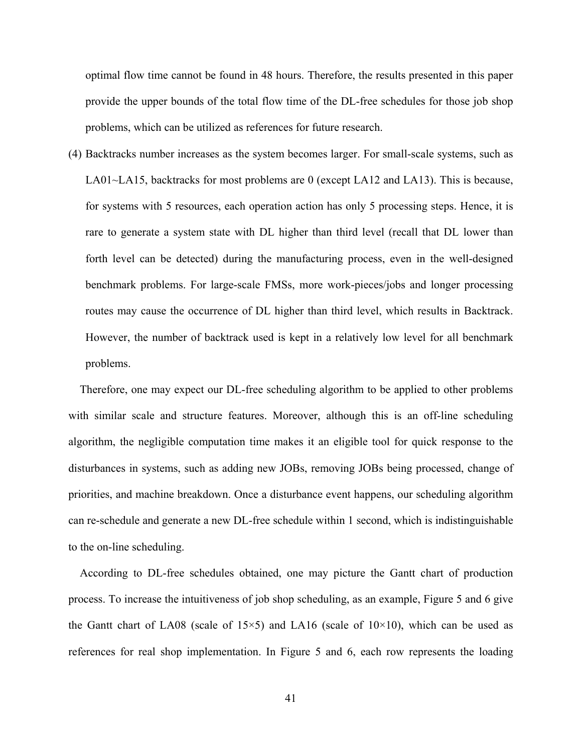optimal flow time cannot be found in 48 hours. Therefore, the results presented in this paper provide the upper bounds of the total flow time of the DL-free schedules for those job shop problems, which can be utilized as references for future research.

(4) Backtracks number increases as the system becomes larger. For small-scale systems, such as LA01~LA15, backtracks for most problems are 0 (except LA12 and LA13). This is because, for systems with 5 resources, each operation action has only 5 processing steps. Hence, it is rare to generate a system state with DL higher than third level (recall that DL lower than forth level can be detected) during the manufacturing process, even in the well-designed benchmark problems. For large-scale FMSs, more work-pieces/jobs and longer processing routes may cause the occurrence of DL higher than third level, which results in Backtrack. However, the number of backtrack used is kept in a relatively low level for all benchmark problems.

Therefore, one may expect our DL-free scheduling algorithm to be applied to other problems with similar scale and structure features. Moreover, although this is an off-line scheduling algorithm, the negligible computation time makes it an eligible tool for quick response to the disturbances in systems, such as adding new JOBs, removing JOBs being processed, change of priorities, and machine breakdown. Once a disturbance event happens, our scheduling algorithm can re-schedule and generate a new DL-free schedule within 1 second, which is indistinguishable to the on-line scheduling.

According to DL-free schedules obtained, one may picture the Gantt chart of production process. To increase the intuitiveness of job shop scheduling, as an example, Figure 5 and 6 give the Gantt chart of LA08 (scale of  $15\times5$ ) and LA16 (scale of  $10\times10$ ), which can be used as references for real shop implementation. In Figure 5 and 6, each row represents the loading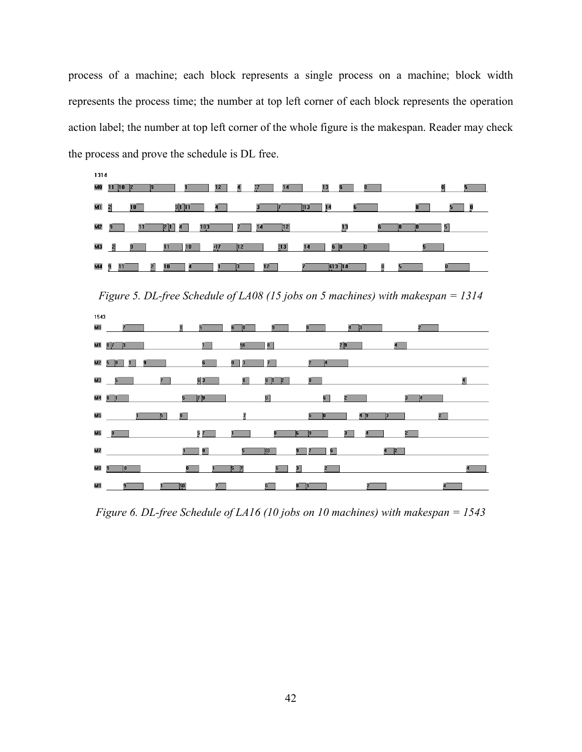process of a machine; each block represents a single process on a machine; block width represents the process time; the number at top left corner of each block represents the operation action label; the number at top left corner of the whole figure is the makespan. Reader may check the process and prove the schedule is DL free.



*Figure 5. DL-free Schedule of LA08 (15 jobs on 5 machines) with makespan = 1314* 



*Figure 6. DL-free Schedule of LA16 (10 jobs on 10 machines) with makespan = 1543*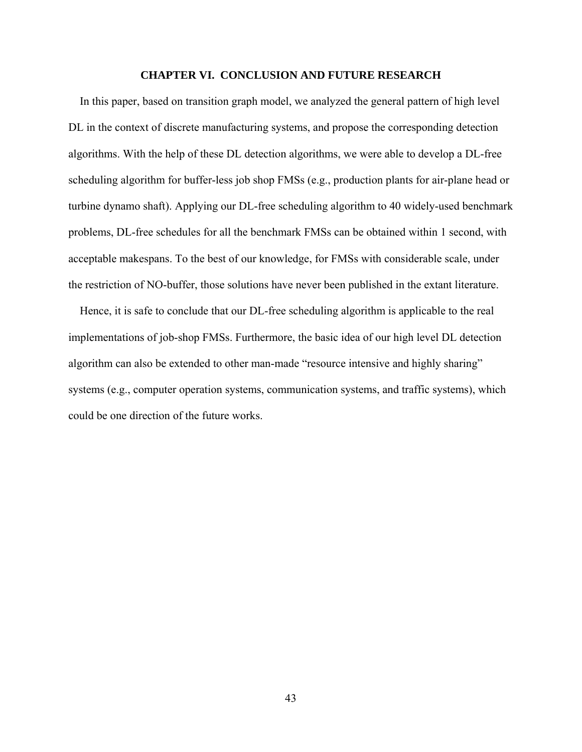#### **CHAPTER VI. CONCLUSION AND FUTURE RESEARCH**

In this paper, based on transition graph model, we analyzed the general pattern of high level DL in the context of discrete manufacturing systems, and propose the corresponding detection algorithms. With the help of these DL detection algorithms, we were able to develop a DL-free scheduling algorithm for buffer-less job shop FMSs (e.g., production plants for air-plane head or turbine dynamo shaft). Applying our DL-free scheduling algorithm to 40 widely-used benchmark problems, DL-free schedules for all the benchmark FMSs can be obtained within 1 second, with acceptable makespans. To the best of our knowledge, for FMSs with considerable scale, under the restriction of NO-buffer, those solutions have never been published in the extant literature.

Hence, it is safe to conclude that our DL-free scheduling algorithm is applicable to the real implementations of job-shop FMSs. Furthermore, the basic idea of our high level DL detection algorithm can also be extended to other man-made "resource intensive and highly sharing" systems (e.g., computer operation systems, communication systems, and traffic systems), which could be one direction of the future works.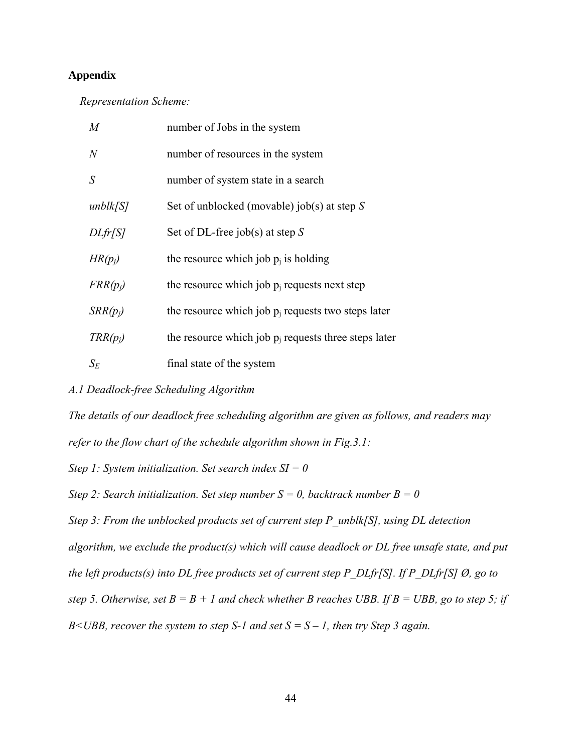# **Appendix**

*Representation Scheme:* 

| M                     | number of Jobs in the system                            |
|-----------------------|---------------------------------------------------------|
| $\overline{N}$        | number of resources in the system                       |
| S                     | number of system state in a search                      |
| unblk[ <sub>S</sub> ] | Set of unblocked (movable) job(s) at step $S$           |
| DLfr/S                | Set of DL-free job(s) at step S                         |
| $HR(p_i)$             | the resource which job $p_i$ is holding                 |
| $FRR(p_i)$            | the resource which job $p_i$ requests next step         |
| $SRR(p_i)$            | the resource which job $p_i$ requests two steps later   |
| $TRR(p_i)$            | the resource which job $p_i$ requests three steps later |
| $S_E$                 | final state of the system                               |

# *A.1 Deadlock-free Scheduling Algorithm*

*The details of our deadlock free scheduling algorithm are given as follows, and readers may refer to the flow chart of the schedule algorithm shown in Fig.3.1:* 

*Step 1: System initialization. Set search index SI = 0* 

*Step 2: Search initialization. Set step number*  $S = 0$ *, backtrack number*  $B = 0$ 

*Step 3: From the unblocked products set of current step P\_unblk[S], using DL detection* 

*algorithm, we exclude the product(s) which will cause deadlock or DL free unsafe state, and put the left products(s) into DL free products set of current step P\_DLfr[S]. If P\_DLfr[S] Ø, go to step 5. Otherwise, set B = B + 1 and check whether B reaches UBB. If B = UBB, go to step 5; if* 

*B<UBB, recover the system to step S-1 and set S = S – 1, then try Step 3 again.*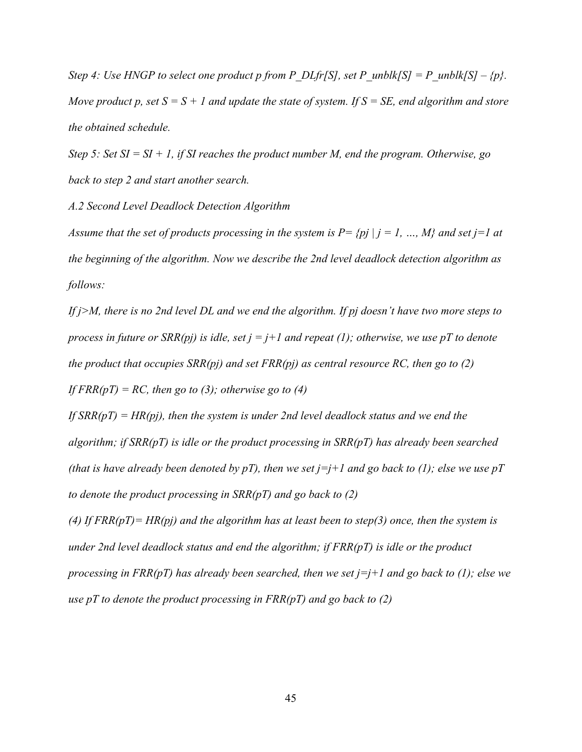*Step 4: Use HNGP to select one product p from P\_DLfr[S], set P\_unblk[S] = P\_unblk[S] – {p}. Move product p, set*  $S = S + I$  *and update the state of system. If*  $S = SE$ *, end algorithm and store the obtained schedule.* 

*Step 5: Set SI = SI + 1, if SI reaches the product number M, end the program. Otherwise, go back to step 2 and start another search.* 

*A.2 Second Level Deadlock Detection Algorithm* 

*Assume that the set of products processing in the system is*  $P = \{pj \mid j = 1, ..., M\}$  *and set j=1 at the beginning of the algorithm. Now we describe the 2nd level deadlock detection algorithm as follows:* 

*If j>M, there is no 2nd level DL and we end the algorithm. If pj doesn't have two more steps to process in future or SRR(pj) is idle, set j = j+1 and repeat (1); otherwise, we use pT to denote the product that occupies SRR(pj) and set FRR(pj) as central resource RC, then go to (2) If FRR(pT) = RC, then go to (3); otherwise go to (4)* 

*If SRR(pT) = HR(pj), then the system is under 2nd level deadlock status and we end the algorithm; if SRR(pT) is idle or the product processing in SRR(pT) has already been searched (that is have already been denoted by pT), then we set j=j+1 and go back to (1); else we use pT to denote the product processing in SRR(pT) and go back to (2)* 

*(4) If FRR(pT)= HR(pj) and the algorithm has at least been to step(3) once, then the system is under 2nd level deadlock status and end the algorithm; if FRR(pT) is idle or the product processing in FRR(pT) has already been searched, then we set j=j+1 and go back to (1); else we use pT to denote the product processing in FRR(pT) and go back to (2)*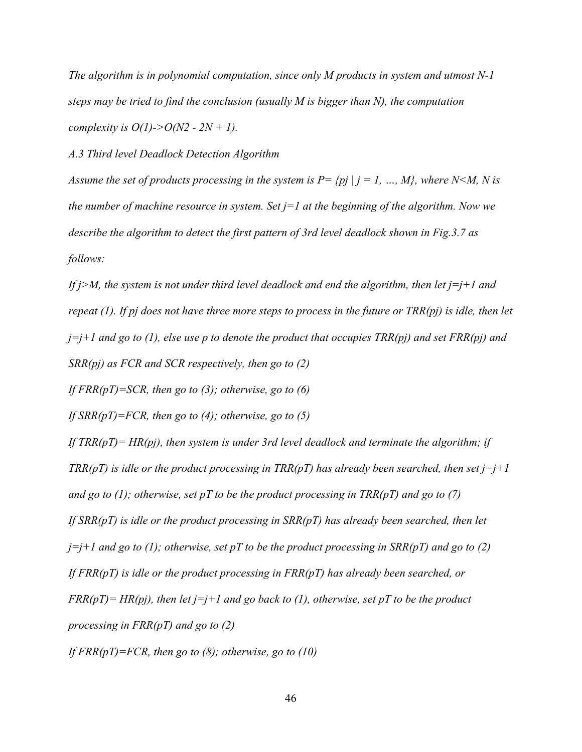*The algorithm is in polynomial computation, since only M products in system and utmost N-1 steps may be tried to find the conclusion (usually M is bigger than N), the computation complexity is O(1)->O(N2 - 2N + 1).* 

*A.3 Third level Deadlock Detection Algorithm* 

*Assume the set of products processing in the system is P= {pj | j = 1, ..., M}, where N<M, N is the number of machine resource in system. Set j=1 at the beginning of the algorithm. Now we describe the algorithm to detect the first pattern of 3rd level deadlock shown in Fig.3.7 as follows:* 

*If j>M, the system is not under third level deadlock and end the algorithm, then let j=j+1 and repeat (1). If pj does not have three more steps to process in the future or TRR(pj) is idle, then let*   $j=j+1$  and go to (1), else use p to denote the product that occupies  $TRR(pj)$  and set  $FRR(pj)$  and *SRR(pj) as FCR and SCR respectively, then go to (2)* 

*If FRR(pT)=SCR, then go to (3); otherwise, go to (6)* 

*If SRR(pT)=FCR, then go to (4); otherwise, go to (5)* 

*If TRR(pT)= HR(pj), then system is under 3rd level deadlock and terminate the algorithm; if TRR(pT) is idle or the product processing in TRR(pT) has already been searched, then set*  $j = j + 1$ *and go to (1); otherwise, set pT to be the product processing in TRR(pT) and go to (7) If SRR(pT) is idle or the product processing in SRR(pT) has already been searched, then let*  $j=j+1$  and go to (1); otherwise, set pT to be the product processing in SRR(pT) and go to (2) *If FRR(pT) is idle or the product processing in FRR(pT) has already been searched, or*   $FRR(pT) = HR(pj)$ , then let  $j=j+1$  and go back to (1), otherwise, set pT to be the product *processing in FRR(pT) and go to (2) If FRR(pT)=FCR, then go to (8); otherwise, go to (10)*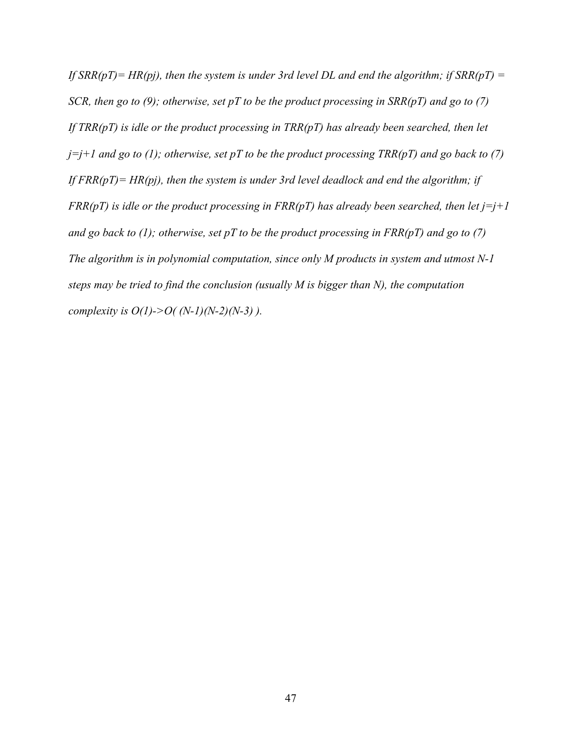If  $SRR(pT) = HR(pj)$ , then the system is under 3rd level DL and end the algorithm; if  $SRR(pT) =$ *SCR, then go to (9); otherwise, set pT to be the product processing in SRR(pT) and go to (7) If TRR(pT) is idle or the product processing in TRR(pT) has already been searched, then let*  $j=j+1$  and go to (1); otherwise, set pT to be the product processing TRR(pT) and go back to (7) *If FRR(pT)= HR(pj), then the system is under 3rd level deadlock and end the algorithm; if FRR(pT)* is idle or the product processing in *FRR(pT)* has already been searched, then let  $j=j+1$ *and go back to (1); otherwise, set pT to be the product processing in FRR(pT) and go to (7) The algorithm is in polynomial computation, since only M products in system and utmost N-1 steps may be tried to find the conclusion (usually M is bigger than N), the computation complexity is O(1)->O( (N-1)(N-2)(N-3) ).*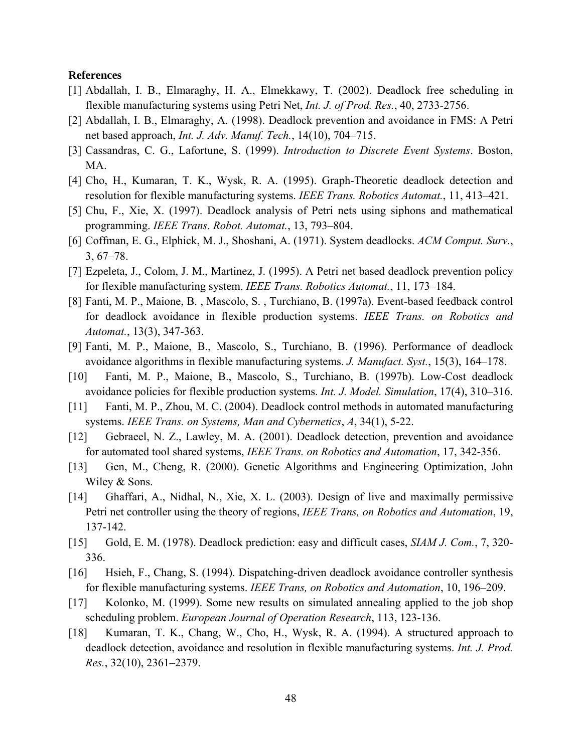#### **References**

- [1] Abdallah, I. B., Elmaraghy, H. A., Elmekkawy, T. (2002). Deadlock free scheduling in flexible manufacturing systems using Petri Net, *Int. J. of Prod. Res.*, 40, 2733-2756.
- [2] Abdallah, I. B., Elmaraghy, A. (1998). Deadlock prevention and avoidance in FMS: A Petri net based approach, *Int. J. Adv. Manuf. Tech.*, 14(10), 704–715.
- [3] Cassandras, C. G., Lafortune, S. (1999). *Introduction to Discrete Event Systems*. Boston, MA.
- [4] Cho, H., Kumaran, T. K., Wysk, R. A. (1995). Graph-Theoretic deadlock detection and resolution for flexible manufacturing systems. *IEEE Trans. Robotics Automat.*, 11, 413–421.
- [5] Chu, F., Xie, X. (1997). Deadlock analysis of Petri nets using siphons and mathematical programming. *IEEE Trans. Robot. Automat.*, 13, 793–804.
- [6] Coffman, E. G., Elphick, M. J., Shoshani, A. (1971). System deadlocks. *ACM Comput. Surv.*, 3, 67–78.
- [7] Ezpeleta, J., Colom, J. M., Martinez, J. (1995). A Petri net based deadlock prevention policy for flexible manufacturing system. *IEEE Trans. Robotics Automat.*, 11, 173–184.
- [8] Fanti, M. P., Maione, B. , Mascolo, S. , Turchiano, B. (1997a). Event-based feedback control for deadlock avoidance in flexible production systems. *IEEE Trans. on Robotics and Automat.*, 13(3), 347-363.
- [9] Fanti, M. P., Maione, B., Mascolo, S., Turchiano, B. (1996). Performance of deadlock avoidance algorithms in flexible manufacturing systems. *J. Manufact. Syst.*, 15(3), 164–178.
- [10] Fanti, M. P., Maione, B., Mascolo, S., Turchiano, B. (1997b). Low-Cost deadlock avoidance policies for flexible production systems. *Int. J. Model. Simulation*, 17(4), 310–316.
- [11] Fanti, M. P., Zhou, M. C. (2004). Deadlock control methods in automated manufacturing systems. *IEEE Trans. on Systems, Man and Cybernetics*, *A*, 34(1), 5-22.
- [12] Gebraeel, N. Z., Lawley, M. A. (2001). Deadlock detection, prevention and avoidance for automated tool shared systems, *IEEE Trans. on Robotics and Automation*, 17, 342-356.
- [13] Gen, M., Cheng, R. (2000). Genetic Algorithms and Engineering Optimization, John Wiley & Sons.
- [14] Ghaffari, A., Nidhal, N., Xie, X. L. (2003). Design of live and maximally permissive Petri net controller using the theory of regions, *IEEE Trans, on Robotics and Automation*, 19, 137-142.
- [15] Gold, E. M. (1978). Deadlock prediction: easy and difficult cases, *SIAM J. Com.*, 7, 320- 336.
- [16] Hsieh, F., Chang, S. (1994). Dispatching-driven deadlock avoidance controller synthesis for flexible manufacturing systems. *IEEE Trans, on Robotics and Automation*, 10, 196–209.
- [17] Kolonko, M. (1999). Some new results on simulated annealing applied to the job shop scheduling problem. *European Journal of Operation Research*, 113, 123-136.
- [18] Kumaran, T. K., Chang, W., Cho, H., Wysk, R. A. (1994). A structured approach to deadlock detection, avoidance and resolution in flexible manufacturing systems. *Int. J. Prod. Res.*, 32(10), 2361–2379.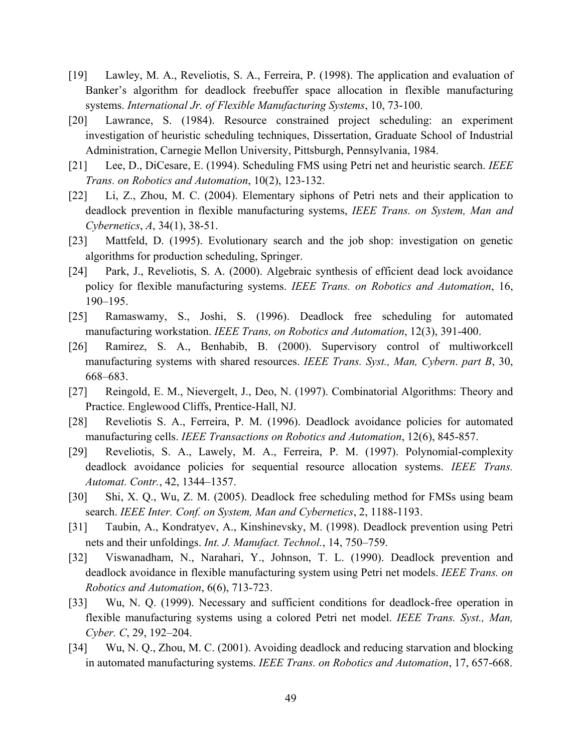- [19] Lawley, M. A., Reveliotis, S. A., Ferreira, P. (1998). The application and evaluation of Banker's algorithm for deadlock freebuffer space allocation in flexible manufacturing systems. *International Jr. of Flexible Manufacturing Systems*, 10, 73-100.
- [20] Lawrance, S. (1984). Resource constrained project scheduling: an experiment investigation of heuristic scheduling techniques, Dissertation, Graduate School of Industrial Administration, Carnegie Mellon University, Pittsburgh, Pennsylvania, 1984.
- [21] Lee, D., DiCesare, E. (1994). Scheduling FMS using Petri net and heuristic search. *IEEE Trans. on Robotics and Automation*, 10(2), 123-132.
- [22] Li, Z., Zhou, M. C. (2004). Elementary siphons of Petri nets and their application to deadlock prevention in flexible manufacturing systems, *IEEE Trans. on System, Man and Cybernetics*, *A*, 34(1), 38-51.
- [23] Mattfeld, D. (1995). Evolutionary search and the job shop: investigation on genetic algorithms for production scheduling, Springer.
- [24] Park, J., Reveliotis, S. A. (2000). Algebraic synthesis of efficient dead lock avoidance policy for flexible manufacturing systems. *IEEE Trans. on Robotics and Automation*, 16, 190–195.
- [25] Ramaswamy, S., Joshi, S. (1996). Deadlock free scheduling for automated manufacturing workstation. *IEEE Trans, on Robotics and Automation*, 12(3), 391-400.
- [26] Ramirez, S. A., Benhabib, B. (2000). Supervisory control of multiworkcell manufacturing systems with shared resources. *IEEE Trans. Syst., Man, Cybern*. *part B*, 30, 668–683.
- [27] Reingold, E. M., Nievergelt, J., Deo, N. (1997). Combinatorial Algorithms: Theory and Practice. Englewood Cliffs, Prentice-Hall, NJ.
- [28] Reveliotis S. A., Ferreira, P. M. (1996). Deadlock avoidance policies for automated manufacturing cells. *IEEE Transactions on Robotics and Automation*, 12(6), 845-857.
- [29] Reveliotis, S. A., Lawely, M. A., Ferreira, P. M. (1997). Polynomial-complexity deadlock avoidance policies for sequential resource allocation systems. *IEEE Trans. Automat. Contr.*, 42, 1344–1357.
- [30] Shi, X. Q., Wu, Z. M. (2005). Deadlock free scheduling method for FMSs using beam search. *IEEE Inter. Conf. on System, Man and Cybernetics*, 2, 1188-1193.
- [31] Taubin, A., Kondratyev, A., Kinshinevsky, M. (1998). Deadlock prevention using Petri nets and their unfoldings. *Int. J. Manufact. Technol.*, 14, 750–759.
- [32] Viswanadham, N., Narahari, Y., Johnson, T. L. (1990). Deadlock prevention and deadlock avoidance in flexible manufacturing system using Petri net models. *IEEE Trans. on Robotics and Automation*, 6(6), 713-723.
- [33] Wu, N. Q. (1999). Necessary and sufficient conditions for deadlock-free operation in flexible manufacturing systems using a colored Petri net model. *IEEE Trans. Syst., Man, Cyber. C*, 29, 192–204.
- [34] Wu, N. Q., Zhou, M. C. (2001). Avoiding deadlock and reducing starvation and blocking in automated manufacturing systems. *IEEE Trans. on Robotics and Automation*, 17, 657-668.